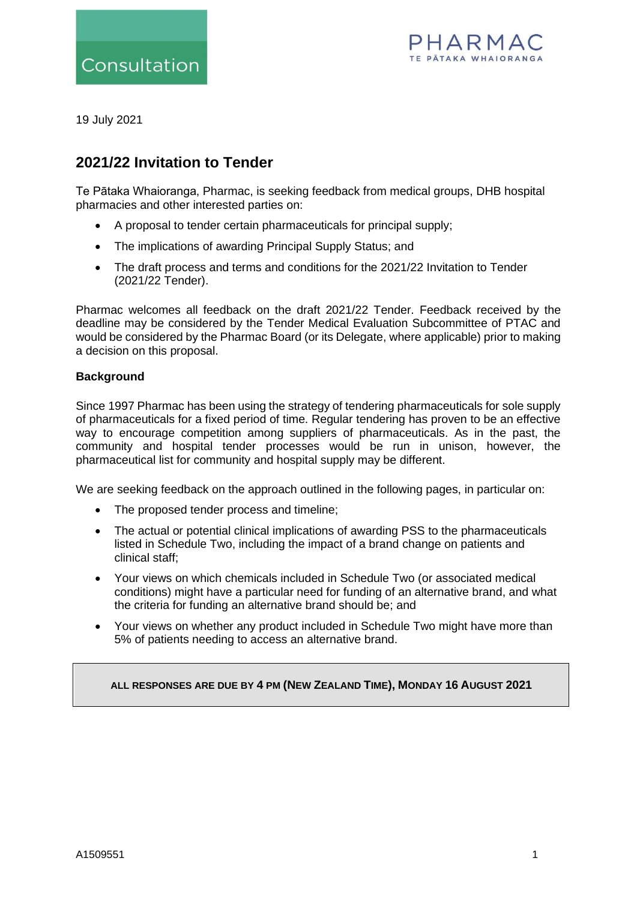



19 July 2021

# **2021/22 Invitation to Tender**

Te Pātaka Whaioranga, Pharmac, is seeking feedback from medical groups, DHB hospital pharmacies and other interested parties on:

- A proposal to tender certain pharmaceuticals for principal supply;
- The implications of awarding Principal Supply Status; and
- The draft process and terms and conditions for the 2021/22 Invitation to Tender (2021/22 Tender).

Pharmac welcomes all feedback on the draft 2021/22 Tender. Feedback received by the deadline may be considered by the Tender Medical Evaluation Subcommittee of PTAC and would be considered by the Pharmac Board (or its Delegate, where applicable) prior to making a decision on this proposal.

#### **Background**

Since 1997 Pharmac has been using the strategy of tendering pharmaceuticals for sole supply of pharmaceuticals for a fixed period of time. Regular tendering has proven to be an effective way to encourage competition among suppliers of pharmaceuticals. As in the past, the community and hospital tender processes would be run in unison, however, the pharmaceutical list for community and hospital supply may be different.

We are seeking feedback on the approach outlined in the following pages, in particular on:

- The proposed tender process and timeline:
- The actual or potential clinical implications of awarding PSS to the pharmaceuticals listed in Schedule Two, including the impact of a brand change on patients and clinical staff;
- Your views on which chemicals included in Schedule Two (or associated medical conditions) might have a particular need for funding of an alternative brand, and what the criteria for funding an alternative brand should be; and
- Your views on whether any product included in Schedule Two might have more than 5% of patients needing to access an alternative brand.

**ALL RESPONSES ARE DUE BY 4 PM (NEW ZEALAND TIME), MONDAY 16 AUGUST 2021**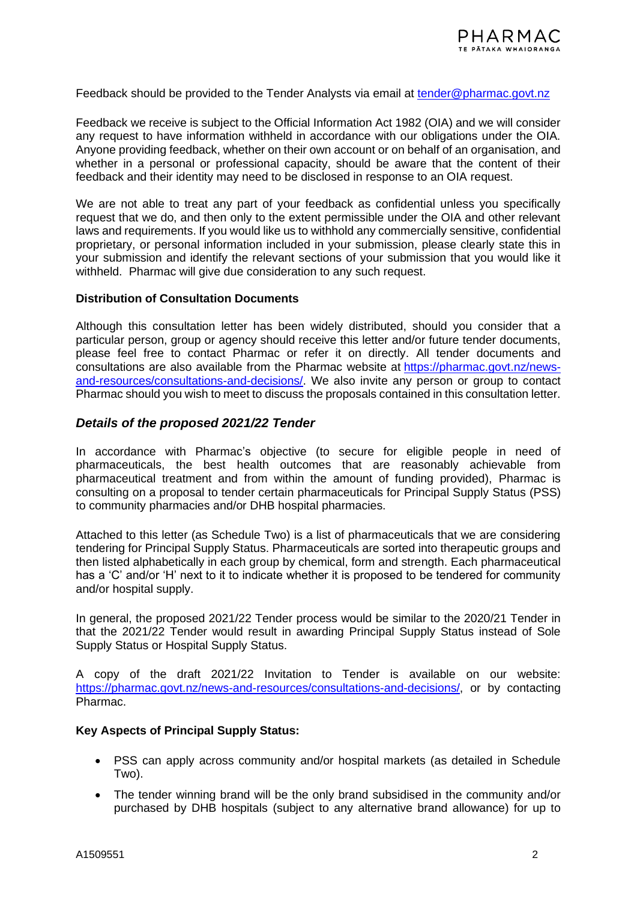Feedback should be provided to the Tender Analysts via email at [tender@pharmac.govt.nz](mailto:tender@pharmac.govt.nz)

Feedback we receive is subject to the Official Information Act 1982 (OIA) and we will consider any request to have information withheld in accordance with our obligations under the OIA. Anyone providing feedback, whether on their own account or on behalf of an organisation, and whether in a personal or professional capacity, should be aware that the content of their feedback and their identity may need to be disclosed in response to an OIA request.

We are not able to treat any part of your feedback as confidential unless you specifically request that we do, and then only to the extent permissible under the OIA and other relevant laws and requirements. If you would like us to withhold any commercially sensitive, confidential proprietary, or personal information included in your submission, please clearly state this in your submission and identify the relevant sections of your submission that you would like it withheld. Pharmac will give due consideration to any such request.

#### **Distribution of Consultation Documents**

Although this consultation letter has been widely distributed, should you consider that a particular person, group or agency should receive this letter and/or future tender documents, please feel free to contact Pharmac or refer it on directly. All tender documents and consultations are also available from the Pharmac website at [https://pharmac.govt.nz/news](https://pharmac.govt.nz/news-and-resources/consultations-and-decisions/)[and-resources/consultations-and-decisions/.](https://pharmac.govt.nz/news-and-resources/consultations-and-decisions/) We also invite any person or group to contact Pharmac should you wish to meet to discuss the proposals contained in this consultation letter.

### *Details of the proposed 2021/22 Tender*

In accordance with Pharmac's objective (to secure for eligible people in need of pharmaceuticals, the best health outcomes that are reasonably achievable from pharmaceutical treatment and from within the amount of funding provided), Pharmac is consulting on a proposal to tender certain pharmaceuticals for Principal Supply Status (PSS) to community pharmacies and/or DHB hospital pharmacies.

Attached to this letter (as Schedule Two) is a list of pharmaceuticals that we are considering tendering for Principal Supply Status. Pharmaceuticals are sorted into therapeutic groups and then listed alphabetically in each group by chemical, form and strength. Each pharmaceutical has a 'C' and/or 'H' next to it to indicate whether it is proposed to be tendered for community and/or hospital supply.

In general, the proposed 2021/22 Tender process would be similar to the 2020/21 Tender in that the 2021/22 Tender would result in awarding Principal Supply Status instead of Sole Supply Status or Hospital Supply Status.

A copy of the draft 2021/22 Invitation to Tender is available on our website: [https://pharmac.govt.nz/news-and-resources/consultations-and-decisions/,](https://pharmac.govt.nz/news-and-resources/consultations-and-decisions/) or by contacting Pharmac.

### **Key Aspects of Principal Supply Status:**

- PSS can apply across community and/or hospital markets (as detailed in Schedule Two).
- The tender winning brand will be the only brand subsidised in the community and/or purchased by DHB hospitals (subject to any alternative brand allowance) for up to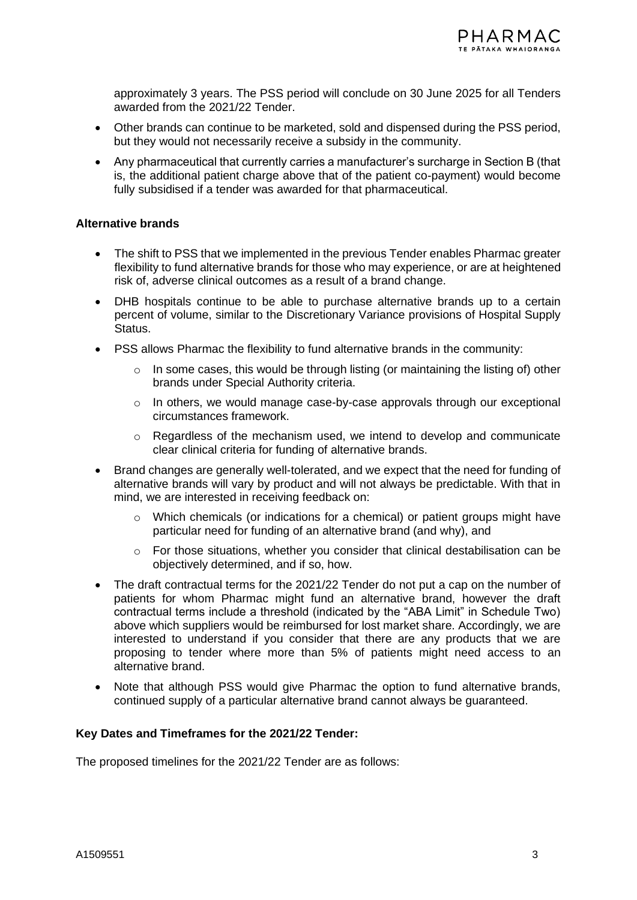approximately 3 years. The PSS period will conclude on 30 June 2025 for all Tenders awarded from the 2021/22 Tender.

- Other brands can continue to be marketed, sold and dispensed during the PSS period, but they would not necessarily receive a subsidy in the community.
- Any pharmaceutical that currently carries a manufacturer's surcharge in Section B (that is, the additional patient charge above that of the patient co-payment) would become fully subsidised if a tender was awarded for that pharmaceutical.

#### **Alternative brands**

- The shift to PSS that we implemented in the previous Tender enables Pharmac greater flexibility to fund alternative brands for those who may experience, or are at heightened risk of, adverse clinical outcomes as a result of a brand change.
- DHB hospitals continue to be able to purchase alternative brands up to a certain percent of volume, similar to the Discretionary Variance provisions of Hospital Supply Status.
- PSS allows Pharmac the flexibility to fund alternative brands in the community:
	- $\circ$  In some cases, this would be through listing (or maintaining the listing of) other brands under Special Authority criteria.
	- o In others, we would manage case-by-case approvals through our exceptional circumstances framework.
	- o Regardless of the mechanism used, we intend to develop and communicate clear clinical criteria for funding of alternative brands.
- Brand changes are generally well-tolerated, and we expect that the need for funding of alternative brands will vary by product and will not always be predictable. With that in mind, we are interested in receiving feedback on:
	- $\circ$  Which chemicals (or indications for a chemical) or patient groups might have particular need for funding of an alternative brand (and why), and
	- o For those situations, whether you consider that clinical destabilisation can be objectively determined, and if so, how.
- The draft contractual terms for the 2021/22 Tender do not put a cap on the number of patients for whom Pharmac might fund an alternative brand, however the draft contractual terms include a threshold (indicated by the "ABA Limit" in Schedule Two) above which suppliers would be reimbursed for lost market share. Accordingly, we are interested to understand if you consider that there are any products that we are proposing to tender where more than 5% of patients might need access to an alternative brand.
- Note that although PSS would give Pharmac the option to fund alternative brands, continued supply of a particular alternative brand cannot always be guaranteed.

#### **Key Dates and Timeframes for the 2021/22 Tender:**

The proposed timelines for the 2021/22 Tender are as follows: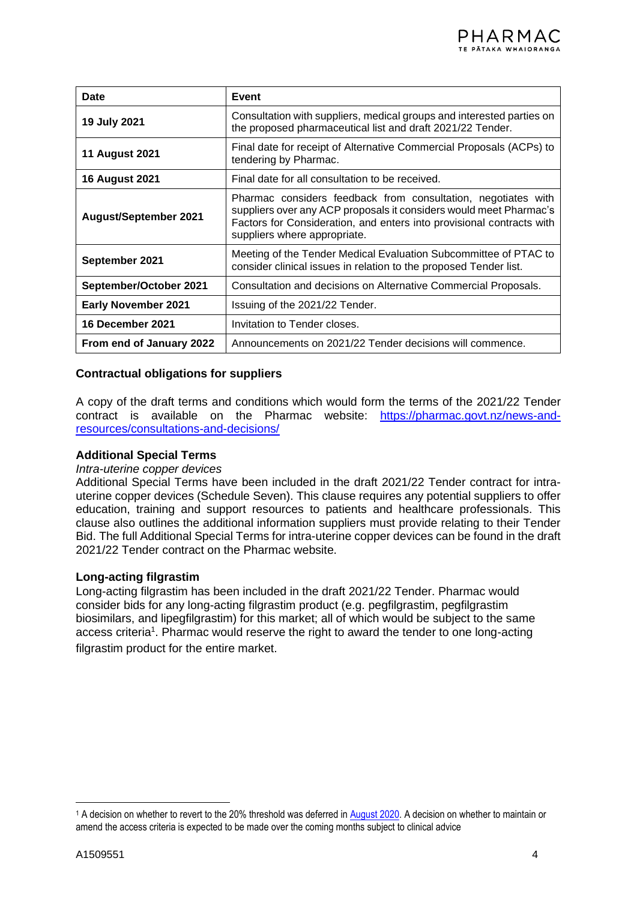| Date                                                                                                                                                                                                                                                                         | Event                                                                                                                                 |  |
|------------------------------------------------------------------------------------------------------------------------------------------------------------------------------------------------------------------------------------------------------------------------------|---------------------------------------------------------------------------------------------------------------------------------------|--|
| 19 July 2021                                                                                                                                                                                                                                                                 | Consultation with suppliers, medical groups and interested parties on<br>the proposed pharmaceutical list and draft 2021/22 Tender.   |  |
| <b>11 August 2021</b>                                                                                                                                                                                                                                                        | Final date for receipt of Alternative Commercial Proposals (ACPs) to<br>tendering by Pharmac.                                         |  |
| <b>16 August 2021</b>                                                                                                                                                                                                                                                        | Final date for all consultation to be received.                                                                                       |  |
| Pharmac considers feedback from consultation, negotiates with<br>suppliers over any ACP proposals it considers would meet Pharmac's<br><b>August/September 2021</b><br>Factors for Consideration, and enters into provisional contracts with<br>suppliers where appropriate. |                                                                                                                                       |  |
| September 2021                                                                                                                                                                                                                                                               | Meeting of the Tender Medical Evaluation Subcommittee of PTAC to<br>consider clinical issues in relation to the proposed Tender list. |  |
| September/October 2021                                                                                                                                                                                                                                                       | Consultation and decisions on Alternative Commercial Proposals.                                                                       |  |
| <b>Early November 2021</b>                                                                                                                                                                                                                                                   | Issuing of the 2021/22 Tender.                                                                                                        |  |
| <b>16 December 2021</b>                                                                                                                                                                                                                                                      | Invitation to Tender closes.                                                                                                          |  |
| From end of January 2022                                                                                                                                                                                                                                                     | Announcements on 2021/22 Tender decisions will commence.                                                                              |  |

### **Contractual obligations for suppliers**

A copy of the draft terms and conditions which would form the terms of the 2021/22 Tender contract is available on the Pharmac website: [https://pharmac.govt.nz/news-and](https://pharmac.govt.nz/news-and-resources/consultations-and-decisions/)[resources/consultations-and-decisions/](https://pharmac.govt.nz/news-and-resources/consultations-and-decisions/)

#### **Additional Special Terms**

#### *Intra-uterine copper devices*

Additional Special Terms have been included in the draft 2021/22 Tender contract for intrauterine copper devices (Schedule Seven). This clause requires any potential suppliers to offer education, training and support resources to patients and healthcare professionals. This clause also outlines the additional information suppliers must provide relating to their Tender Bid. The full Additional Special Terms for intra-uterine copper devices can be found in the draft 2021/22 Tender contract on the Pharmac website.

### **Long-acting filgrastim**

Long-acting filgrastim has been included in the draft 2021/22 Tender. Pharmac would consider bids for any long-acting filgrastim product (e.g. pegfilgrastim, pegfilgrastim biosimilars, and lipegfilgrastim) for this market; all of which would be subject to the same access criteria<sup>1</sup>. Pharmac would reserve the right to award the tender to one long-acting filgrastim product for the entire market.

<sup>&</sup>lt;sup>1</sup> A decision on whether to revert to the 20% threshold was deferred in [August 2020.](https://pharmac.govt.nz/news-and-resources/consultations-and-decisions/decision-on-schedule-changes-made-in-response-to-covid-19/) A decision on whether to maintain or amend the access criteria is expected to be made over the coming months subject to clinical advice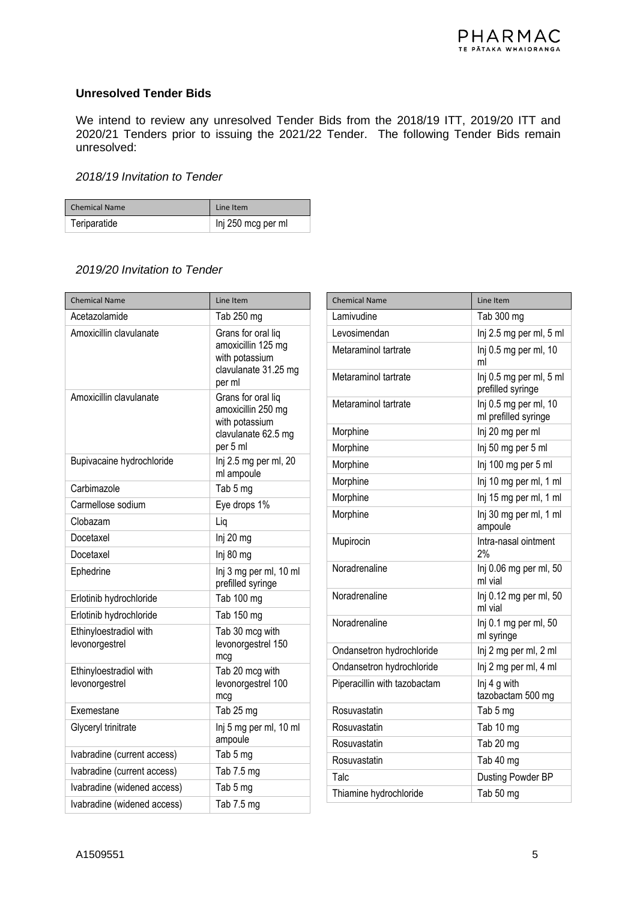#### **Unresolved Tender Bids**

We intend to review any unresolved Tender Bids from the 2018/19 ITT, 2019/20 ITT and 2020/21 Tenders prior to issuing the 2021/22 Tender. The following Tender Bids remain unresolved:

### *2018/19 Invitation to Tender*

| <b>Chemical Name</b> | Line Item          |
|----------------------|--------------------|
| Teriparatide         | Inj 250 mcg per ml |

### *2019/20 Invitation to Tender*

| <b>Chemical Name</b>                     | Line Item                                                                                     |
|------------------------------------------|-----------------------------------------------------------------------------------------------|
| Acetazolamide                            | Tab 250 mg                                                                                    |
| Amoxicillin clavulanate                  | Grans for oral liq<br>amoxicillin 125 mg<br>with potassium<br>clavulanate 31.25 mg<br>per ml  |
| Amoxicillin clavulanate                  | Grans for oral liq<br>amoxicillin 250 mg<br>with potassium<br>clavulanate 62.5 mg<br>per 5 ml |
| Bupivacaine hydrochloride                | Inj 2.5 mg per ml, 20<br>ml ampoule                                                           |
| Carbimazole                              | Tab 5 mg                                                                                      |
| Carmellose sodium                        | Eye drops 1%                                                                                  |
| Clobazam                                 | Lig                                                                                           |
| Docetaxel                                | Inj 20 mg                                                                                     |
| Docetaxel                                | Inj 80 mg                                                                                     |
| Ephedrine                                | Inj 3 mg per ml, 10 ml<br>prefilled syringe                                                   |
| Erlotinib hydrochloride                  | Tab 100 mg                                                                                    |
| Erlotinib hydrochloride                  | Tab 150 mg                                                                                    |
| Ethinyloestradiol with<br>levonorgestrel | Tab 30 mcg with<br>levonorgestrel 150<br>mcg                                                  |
| Ethinyloestradiol with<br>levonorgestrel | Tab 20 mcg with<br>levonorgestrel 100<br>mcg                                                  |
| Exemestane                               | Tab 25 mg                                                                                     |
| Glyceryl trinitrate                      | Inj 5 mg per ml, 10 ml<br>ampoule                                                             |
| Ivabradine (current access)              | Tab 5 mg                                                                                      |
| Ivabradine (current access)              | Tab 7.5 mg                                                                                    |
| Ivabradine (widened access)              | Tab 5 mg                                                                                      |
| Ivabradine (widened access)              | Tab 7.5 mg                                                                                    |

| <b>Chemical Name</b>         | Line Item                                     |
|------------------------------|-----------------------------------------------|
| Lamivudine                   | Tab 300 mg                                    |
| Levosimendan                 | Inj 2.5 mg per ml, 5 ml                       |
| Metaraminol tartrate         | Inj 0.5 mg per ml, 10<br>ml                   |
| Metaraminol tartrate         | Inj 0.5 mg per ml, 5 ml<br>prefilled syringe  |
| Metaraminol tartrate         | Inj 0.5 mg per ml, 10<br>ml prefilled syringe |
| Morphine                     | Inj 20 mg per ml                              |
| Morphine                     | Inj 50 mg per 5 ml                            |
| Morphine                     | Inj 100 mg per 5 ml                           |
| Morphine                     | Inj 10 mg per ml, 1 ml                        |
| Morphine                     | Inj 15 mg per ml, 1 ml                        |
| Morphine                     | Inj 30 mg per ml, 1 ml<br>ampoule             |
| Mupirocin                    | Intra-nasal ointment<br>2%                    |
| Noradrenaline                | Inj 0.06 mg per ml, 50<br>ml vial             |
| Noradrenaline                | Inj 0.12 mg per ml, 50<br>ml vial             |
| Noradrenaline                | $Inj$ 0.1 mg per ml, 50<br>ml syringe         |
| Ondansetron hydrochloride    | Inj 2 mg per ml, 2 ml                         |
| Ondansetron hydrochloride    | Inj 2 mg per ml, 4 ml                         |
| Piperacillin with tazobactam | Inj 4 g with<br>tazobactam 500 mg             |
| Rosuvastatin                 | Tab 5 mg                                      |
| Rosuvastatin                 | Tab 10 mg                                     |
| Rosuvastatin                 | Tab 20 mg                                     |
| Rosuvastatin                 | Tab 40 mg                                     |
| Talc                         | Dusting Powder BP                             |
| Thiamine hydrochloride       | Tab 50 mg                                     |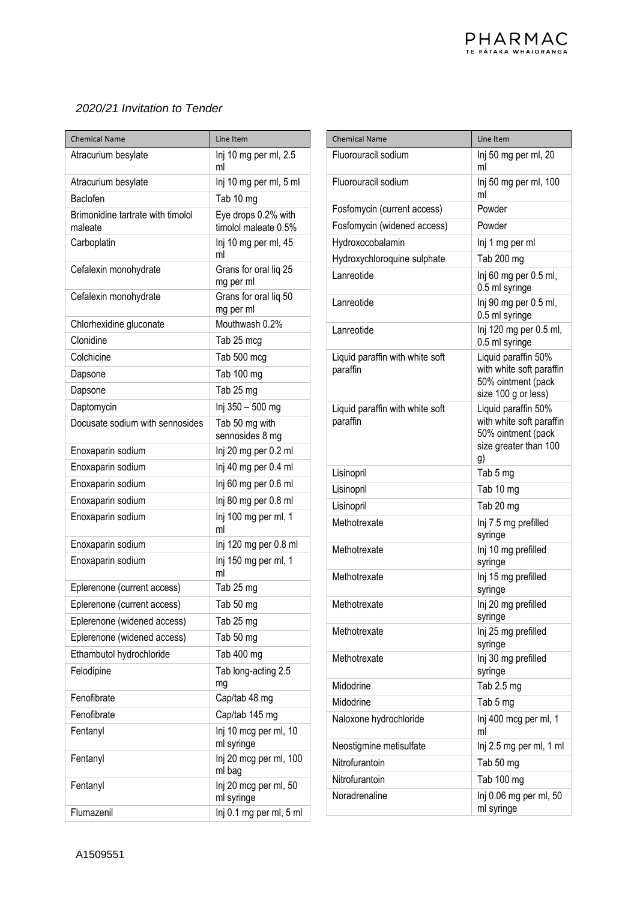### *2020/21 Invitation to Tender*

| <b>Chemical Name</b>                         | Line Item                                   |
|----------------------------------------------|---------------------------------------------|
| Atracurium besylate                          | Inj 10 mg per ml, 2.5<br>ml                 |
| Atracurium besylate                          | Inj 10 mg per ml, 5 ml                      |
| Baclofen                                     | Tab 10 mg                                   |
| Brimonidine tartrate with timolol<br>maleate | Eye drops 0.2% with<br>timolol maleate 0.5% |
| Carboplatin                                  | Inj 10 mg per ml, 45<br>ml                  |
| Cefalexin monohydrate                        | Grans for oral liq 25<br>mg per ml          |
| Cefalexin monohydrate                        | Grans for oral lig 50<br>mg per ml          |
| Chlorhexidine gluconate                      | Mouthwash 0.2%                              |
| Clonidine                                    | Tab 25 mcg                                  |
| Colchicine                                   | Tab 500 mcg                                 |
| Dapsone                                      | Tab 100 mg                                  |
| Dapsone                                      | Tab 25 mg                                   |
| Daptomycin                                   | Inj 350 - 500 mg                            |
| Docusate sodium with sennosides              | Tab 50 mg with<br>sennosides 8 mg           |
| Enoxaparin sodium                            | Inj 20 mg per 0.2 ml                        |
| Enoxaparin sodium                            | Inj 40 mg per 0.4 ml                        |
| Enoxaparin sodium                            | Inj 60 mg per 0.6 ml                        |
| Enoxaparin sodium                            | Inj 80 mg per 0.8 ml                        |
| Enoxaparin sodium                            | Inj 100 mg per ml, 1<br>ml                  |
| Enoxaparin sodium                            | Inj 120 mg per 0.8 ml                       |
| Enoxaparin sodium                            | Inj 150 mg per ml, 1<br>ml                  |
| Eplerenone (current access)                  | Tab 25 mg                                   |
| Eplerenone (current access)                  | Tab 50 mg                                   |
| Eplerenone (widened access)                  | Tab 25 mg                                   |
| Eplerenone (widened access)                  | Tab 50 mg                                   |
| Ethambutol hydrochloride                     | Tab 400 mg                                  |
| Felodipine                                   | Tab long-acting 2.5<br>mg                   |
| Fenofibrate                                  | Cap/tab 48 mg                               |
| Fenofibrate                                  | Cap/tab 145 mg                              |
| Fentanyl                                     | Inj 10 mcg per ml, 10<br>ml syringe         |
| Fentanyl                                     | Inj 20 mcg per ml, 100<br>ml bag            |
| Fentanyl                                     | Inj 20 mcg per ml, 50<br>ml syringe         |
| Flumazenil                                   | Inj 0.1 mg per ml, 5 ml                     |

| <b>Chemical Name</b>                        | Line Item                                                                                            |
|---------------------------------------------|------------------------------------------------------------------------------------------------------|
| Fluorouracil sodium                         | Inj 50 mg per ml, 20                                                                                 |
|                                             | ml                                                                                                   |
| Fluorouracil sodium                         | Inj 50 mg per ml, 100<br>ml                                                                          |
| Fosfomycin (current access)                 | Powder                                                                                               |
| Fosfomycin (widened access)                 | Powder                                                                                               |
| Hydroxocobalamin                            | Inj 1 mg per ml                                                                                      |
| Hydroxychloroquine sulphate                 | Tab 200 mg                                                                                           |
| Lanreotide                                  | Inj 60 mg per 0.5 ml,<br>0.5 ml syringe                                                              |
| Lanreotide                                  | Inj 90 mg per 0.5 ml,<br>0.5 ml syringe                                                              |
| Lanreotide                                  | Inj 120 mg per 0.5 ml,<br>0.5 ml syringe                                                             |
| Liquid paraffin with white soft<br>paraffin | Liquid paraffin 50%<br>with white soft paraffin<br>50% ointment (pack<br>size 100 g or less)         |
| Liquid paraffin with white soft<br>paraffin | Liquid paraffin 50%<br>with white soft paraffin<br>50% ointment (pack<br>size greater than 100<br>g) |
| Lisinopril                                  | Tab 5 mg                                                                                             |
| Lisinopril                                  | Tab 10 mg                                                                                            |
| Lisinopril                                  | Tab 20 mg                                                                                            |
| Methotrexate                                | Inj 7.5 mg prefilled<br>syringe                                                                      |
| Methotrexate                                | Inj 10 mg prefilled<br>syringe                                                                       |
| Methotrexate                                | Inj 15 mg prefilled<br>syringe                                                                       |
| Methotrexate                                | Inj 20 mg prefilled<br>syringe                                                                       |
| Methotrexate                                | Inj 25 mg prefilled<br>syringe                                                                       |
| Methotrexate                                | Inj 30 mg prefilled<br>syringe                                                                       |
| Midodrine                                   | Tab 2.5 mg                                                                                           |
| Midodrine                                   | Tab 5 mg                                                                                             |
| Naloxone hydrochloride                      | Inj 400 mcg per ml, 1<br>ml                                                                          |
| Neostigmine metisulfate                     | Inj 2.5 mg per ml, 1 ml                                                                              |
| Nitrofurantoin                              | Tab 50 mg                                                                                            |
| Nitrofurantoin                              | Tab 100 mg                                                                                           |
| Noradrenaline                               | Inj 0.06 mg per ml, 50<br>ml syringe                                                                 |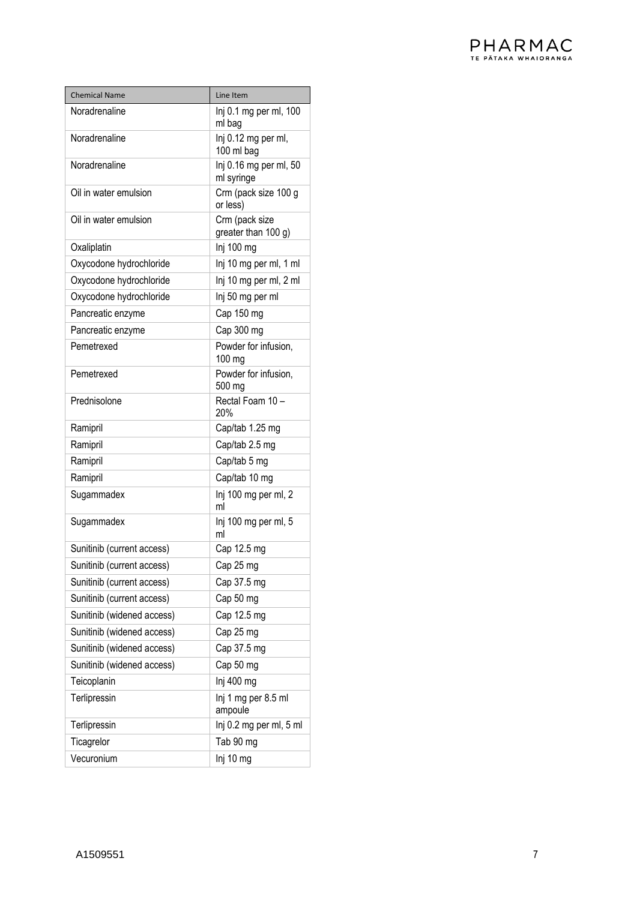| <b>Chemical Name</b>            | Line Item                             |
|---------------------------------|---------------------------------------|
| Noradrenaline                   | Inj 0.1 mg per ml, 100                |
|                                 | ml bag                                |
| Noradrenaline                   | Inj 0.12 mg per ml,                   |
| Noradrenaline                   | 100 ml bag                            |
|                                 | Inj 0.16 mg per ml, 50<br>ml syringe  |
| Oil in water emulsion           | Crm (pack size 100 g                  |
|                                 | or less)                              |
| Oil in water emulsion           | Crm (pack size<br>greater than 100 g) |
| Oxaliplatin                     | Inj 100 mg                            |
| Oxycodone hydrochloride         | Inj 10 mg per ml, 1 ml                |
| Oxycodone hydrochloride         | Inj 10 mg per ml, 2 ml                |
| Oxycodone hydrochloride         | Inj 50 mg per ml                      |
| Pancreatic enzyme               | Cap 150 mg                            |
|                                 | Cap 300 mg                            |
| Pancreatic enzyme<br>Pemetrexed | Powder for infusion,                  |
|                                 | 100 mg                                |
| Pemetrexed                      | Powder for infusion,                  |
|                                 | 500 mg                                |
| Prednisolone                    | Rectal Foam 10 -<br>20%               |
| Ramipril                        | Cap/tab 1.25 mg                       |
| Ramipril                        | Cap/tab 2.5 mg                        |
| Ramipril                        | Cap/tab 5 mg                          |
| Ramipril                        | Cap/tab 10 mg                         |
| Sugammadex                      | Inj 100 mg per ml, 2<br>ml            |
| Sugammadex                      | Inj 100 mg per ml, 5<br>ml            |
| Sunitinib (current access)      | Cap 12.5 mg                           |
| Sunitinib (current access)      | Cap 25 mg                             |
| Sunitinib (current access)      | Cap 37.5 mg                           |
| Sunitinib (current access)      | Cap 50 mg                             |
| Sunitinib (widened access)      | Cap 12.5 mg                           |
| Sunitinib (widened access)      | Cap 25 mg                             |
| Sunitinib (widened access)      | Cap 37.5 mg                           |
| Sunitinib (widened access)      | Cap 50 mg                             |
| Teicoplanin                     | Inj 400 mg                            |
| Terlipressin                    | Inj 1 mg per 8.5 ml<br>ampoule        |
| Terlipressin                    | Inj 0.2 mg per ml, 5 ml               |
| Ticagrelor                      | Tab 90 mg                             |
| Vecuronium                      | Inj 10 mg                             |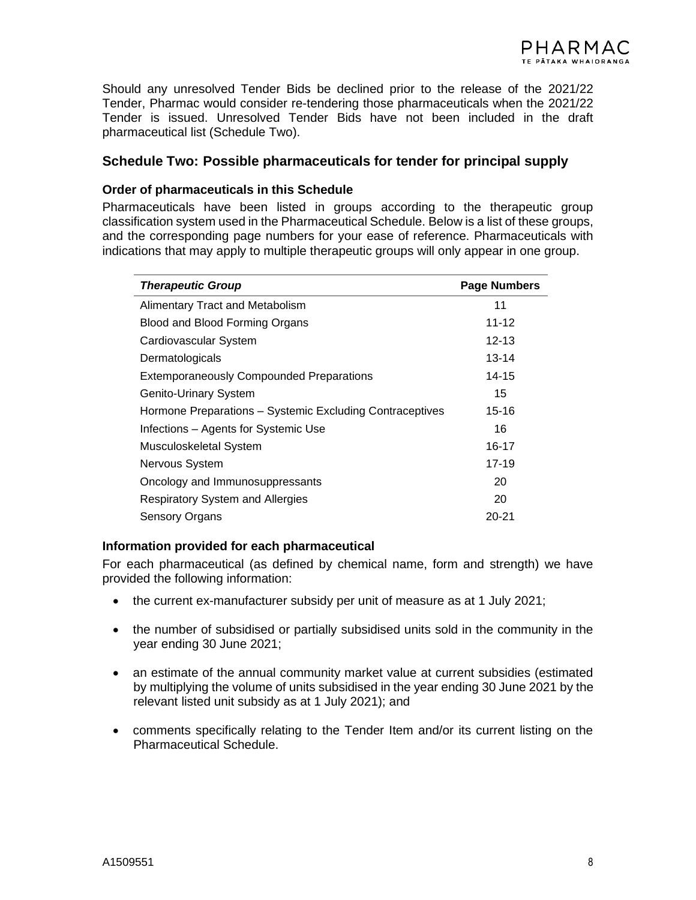Should any unresolved Tender Bids be declined prior to the release of the 2021/22 Tender, Pharmac would consider re-tendering those pharmaceuticals when the 2021/22 Tender is issued. Unresolved Tender Bids have not been included in the draft pharmaceutical list (Schedule Two).

### **Schedule Two: Possible pharmaceuticals for tender for principal supply**

#### **Order of pharmaceuticals in this Schedule**

Pharmaceuticals have been listed in groups according to the therapeutic group classification system used in the Pharmaceutical Schedule. Below is a list of these groups, and the corresponding page numbers for your ease of reference. Pharmaceuticals with indications that may apply to multiple therapeutic groups will only appear in one group.

| <b>Therapeutic Group</b>                                 | <b>Page Numbers</b> |
|----------------------------------------------------------|---------------------|
| <b>Alimentary Tract and Metabolism</b>                   | 11                  |
| Blood and Blood Forming Organs                           | $11 - 12$           |
| Cardiovascular System                                    | 12-13               |
| Dermatologicals                                          | 13-14               |
| <b>Extemporaneously Compounded Preparations</b>          | 14-15               |
| Genito-Urinary System                                    | 15                  |
| Hormone Preparations - Systemic Excluding Contraceptives | 15-16               |
| Infections - Agents for Systemic Use                     | 16                  |
| Musculoskeletal System                                   | 16-17               |
| Nervous System                                           | 17-19               |
| Oncology and Immunosuppressants                          | 20                  |
| <b>Respiratory System and Allergies</b>                  | 20                  |
| <b>Sensory Organs</b>                                    | $20 - 21$           |

#### **Information provided for each pharmaceutical**

For each pharmaceutical (as defined by chemical name, form and strength) we have provided the following information:

- the current ex-manufacturer subsidy per unit of measure as at 1 July 2021;
- the number of subsidised or partially subsidised units sold in the community in the year ending 30 June 2021;
- an estimate of the annual community market value at current subsidies (estimated by multiplying the volume of units subsidised in the year ending 30 June 2021 by the relevant listed unit subsidy as at 1 July 2021); and
- comments specifically relating to the Tender Item and/or its current listing on the Pharmaceutical Schedule.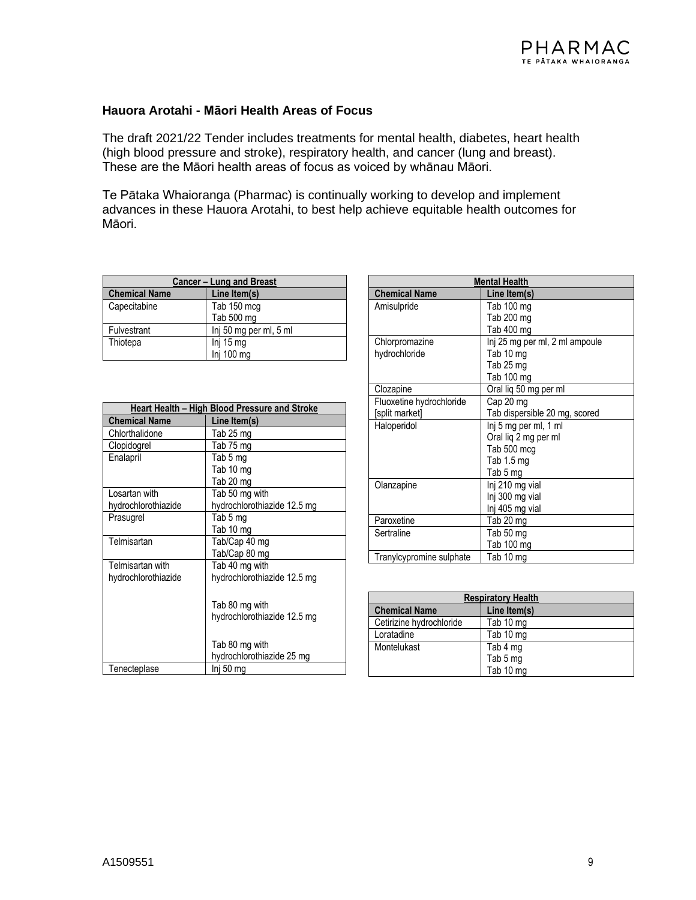#### **Hauora Arotahi - Māori Health Areas of Focus**

The draft 2021/22 Tender includes treatments for mental health, diabetes, heart health (high blood pressure and stroke), respiratory health, and cancer (lung and breast). These are the Māori health areas of focus as voiced by whānau Māori.

Te Pātaka Whaioranga (Pharmac) is continually working to develop and implement advances in these Hauora Arotahi, to best help achieve equitable health outcomes for Māori.

| <b>Cancer - Lung and Breast</b> |                        |
|---------------------------------|------------------------|
| <b>Chemical Name</b>            | Line Item(s)           |
| Capecitabine                    | Tab 150 mcg            |
|                                 | Tab 500 mg             |
| Fulvestrant                     | Inj 50 mg per ml, 5 ml |
| Thiotepa                        | Inj 15 mg              |
|                                 | Inj 100 mg             |

| Heart Health – High Blood Pressure and Stroke |                             |
|-----------------------------------------------|-----------------------------|
| <b>Chemical Name</b>                          | Line Item(s)                |
| Chlorthalidone                                | Tab 25 mg                   |
| Clopidogrel                                   | Tab 75 mg                   |
| Enalapril                                     | Tab 5 mg                    |
|                                               | Tab 10 mg                   |
|                                               | Tab 20 mg                   |
| Losartan with                                 | Tab 50 mg with              |
| hydrochlorothiazide                           | hydrochlorothiazide 12.5 mg |
| Prasugrel                                     | Tab 5 mg                    |
|                                               | Tab 10 mg                   |
| Telmisartan                                   | Tab/Cap 40 mq               |
|                                               | Tab/Cap 80 mg               |
| Telmisartan with                              | Tab 40 mg with              |
| hydrochlorothiazide                           | hydrochlorothiazide 12.5 mg |
|                                               |                             |
|                                               | Tab 80 mg with              |
|                                               | hydrochlorothiazide 12.5 mg |
|                                               |                             |
|                                               | Tab 80 mg with              |
|                                               | hydrochlorothiazide 25 mg   |
| Tenecteplase                                  | lnj 50 ma                   |

| <b>Mental Health</b>     |                                |
|--------------------------|--------------------------------|
| <b>Chemical Name</b>     | Line Item(s)                   |
| Amisulpride              | Tab 100 mg                     |
|                          | Tab 200 mg                     |
|                          | Tab 400 mg                     |
| Chlorpromazine           | Inj 25 mg per ml, 2 ml ampoule |
| hydrochloride            | Tab 10 mg                      |
|                          | Tab 25 mg                      |
|                          | Tab 100 mg                     |
| Clozapine                | Oral lig 50 mg per ml          |
| Fluoxetine hydrochloride | Cap 20 mg                      |
| [split market]           | Tab dispersible 20 mg, scored  |
| Haloperidol              | Inj 5 mg per ml, 1 ml          |
|                          | Oral lig 2 mg per ml           |
|                          | Tab 500 mcg                    |
|                          | Tab 1.5 mg                     |
|                          | Tab 5 mg                       |
| Olanzapine               | Inj 210 mg vial                |
|                          | Inj 300 mg vial                |
|                          | Inj 405 mg vial                |
| Paroxetine               | Tab 20 mg                      |
| Sertraline               | Tab 50 mg                      |
|                          | Tab 100 mg                     |
| Tranylcypromine sulphate | Tab 10 mg                      |

| <b>Respiratory Health</b> |              |
|---------------------------|--------------|
| <b>Chemical Name</b>      | Line Item(s) |
| Cetirizine hydrochloride  | Tab 10 mg    |
| Loratadine                | Tab 10 mg    |
| Montelukast               | Tab 4 mg     |
|                           | Tab 5 mg     |
|                           | Tab 10 mg    |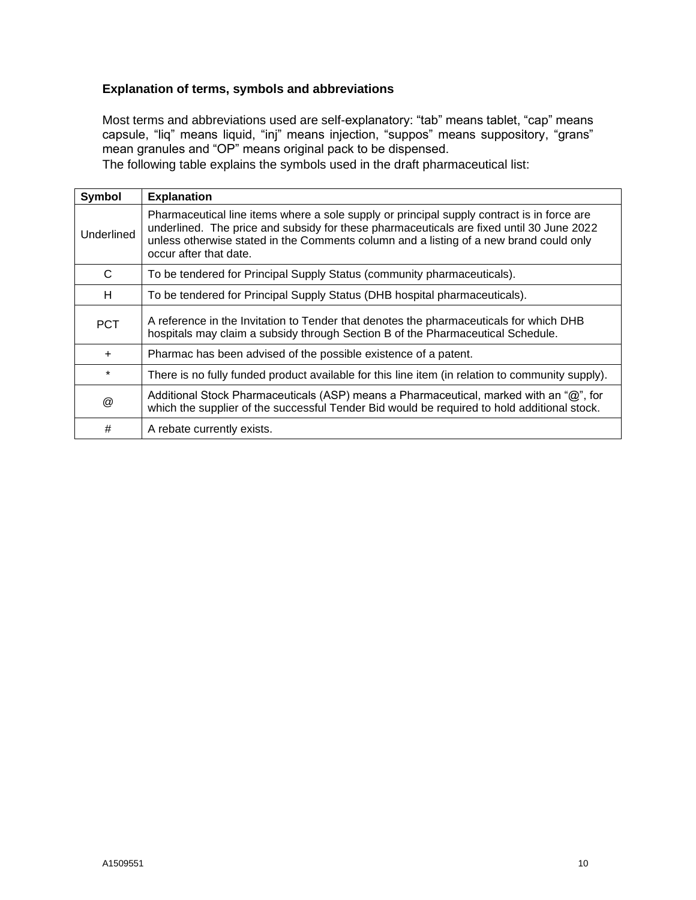### **Explanation of terms, symbols and abbreviations**

Most terms and abbreviations used are self-explanatory: "tab" means tablet, "cap" means capsule, "liq" means liquid, "inj" means injection, "suppos" means suppository, "grans" mean granules and "OP" means original pack to be dispensed.

The following table explains the symbols used in the draft pharmaceutical list:

| Symbol     | <b>Explanation</b>                                                                                                                                                                                                                                                                                         |
|------------|------------------------------------------------------------------------------------------------------------------------------------------------------------------------------------------------------------------------------------------------------------------------------------------------------------|
| Underlined | Pharmaceutical line items where a sole supply or principal supply contract is in force are<br>underlined. The price and subsidy for these pharmaceuticals are fixed until 30 June 2022<br>unless otherwise stated in the Comments column and a listing of a new brand could only<br>occur after that date. |
| C          | To be tendered for Principal Supply Status (community pharmaceuticals).                                                                                                                                                                                                                                    |
| H          | To be tendered for Principal Supply Status (DHB hospital pharmaceuticals).                                                                                                                                                                                                                                 |
| <b>PCT</b> | A reference in the Invitation to Tender that denotes the pharmaceuticals for which DHB<br>hospitals may claim a subsidy through Section B of the Pharmaceutical Schedule.                                                                                                                                  |
| $\ddot{}$  | Pharmac has been advised of the possible existence of a patent.                                                                                                                                                                                                                                            |
| $\star$    | There is no fully funded product available for this line item (in relation to community supply).                                                                                                                                                                                                           |
| @          | Additional Stock Pharmaceuticals (ASP) means a Pharmaceutical, marked with an "@", for<br>which the supplier of the successful Tender Bid would be required to hold additional stock.                                                                                                                      |
| #          | A rebate currently exists.                                                                                                                                                                                                                                                                                 |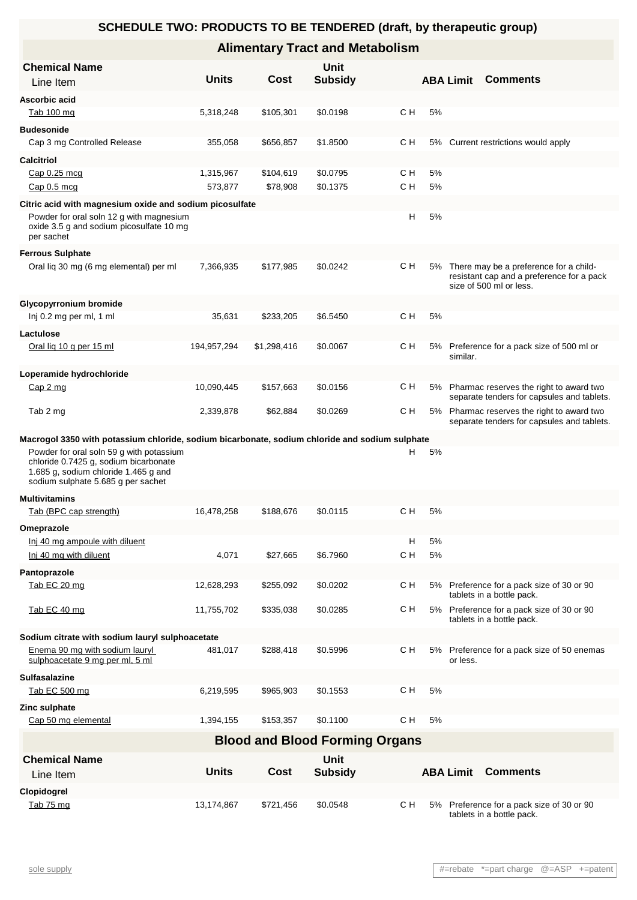| <b>Chemical Name</b><br>Line Item                                                                                                                               | <b>Units</b> | Cost        | Unit<br><b>Subsidy</b>                |     |    | <b>ABA Limit</b> | <b>Comments</b>                                                                                                |
|-----------------------------------------------------------------------------------------------------------------------------------------------------------------|--------------|-------------|---------------------------------------|-----|----|------------------|----------------------------------------------------------------------------------------------------------------|
| Ascorbic acid                                                                                                                                                   |              |             |                                       |     |    |                  |                                                                                                                |
| Tab 100 mg                                                                                                                                                      | 5,318,248    | \$105,301   | \$0.0198                              | C H | 5% |                  |                                                                                                                |
| <b>Budesonide</b>                                                                                                                                               |              |             |                                       |     |    |                  |                                                                                                                |
| Cap 3 mg Controlled Release                                                                                                                                     | 355,058      | \$656,857   | \$1.8500                              | с н |    |                  | 5% Current restrictions would apply                                                                            |
| <b>Calcitriol</b>                                                                                                                                               |              |             |                                       |     |    |                  |                                                                                                                |
| Cap 0.25 mcg                                                                                                                                                    | 1,315,967    | \$104,619   | \$0.0795                              | C H | 5% |                  |                                                                                                                |
| Cap 0.5 mcg                                                                                                                                                     | 573,877      | \$78,908    | \$0.1375                              | C H | 5% |                  |                                                                                                                |
| Citric acid with magnesium oxide and sodium picosulfate                                                                                                         |              |             |                                       |     |    |                  |                                                                                                                |
| Powder for oral soln 12 g with magnesium<br>oxide 3.5 g and sodium picosulfate 10 mg<br>per sachet                                                              |              |             |                                       | н   | 5% |                  |                                                                                                                |
| <b>Ferrous Sulphate</b>                                                                                                                                         |              |             |                                       |     |    |                  |                                                                                                                |
| Oral lig 30 mg (6 mg elemental) per ml                                                                                                                          | 7,366,935    | \$177,985   | \$0.0242                              | C H | 5% |                  | There may be a preference for a child-<br>resistant cap and a preference for a pack<br>size of 500 ml or less. |
| <b>Glycopyrronium bromide</b>                                                                                                                                   |              |             |                                       |     |    |                  |                                                                                                                |
| Inj 0.2 mg per ml, 1 ml                                                                                                                                         | 35,631       | \$233,205   | \$6.5450                              | C H | 5% |                  |                                                                                                                |
| Lactulose                                                                                                                                                       |              |             |                                       |     |    |                  |                                                                                                                |
| Oral lig 10 g per 15 ml                                                                                                                                         | 194,957,294  | \$1,298,416 | \$0.0067                              | с н |    | similar.         | 5% Preference for a pack size of 500 ml or                                                                     |
| Loperamide hydrochloride                                                                                                                                        |              |             |                                       |     |    |                  |                                                                                                                |
| Cap 2 mg                                                                                                                                                        | 10,090,445   | \$157,663   | \$0.0156                              | с н |    |                  | 5% Pharmac reserves the right to award two<br>separate tenders for capsules and tablets.                       |
| Tab 2 mg                                                                                                                                                        | 2,339,878    | \$62,884    | \$0.0269                              | с н |    |                  | 5% Pharmac reserves the right to award two<br>separate tenders for capsules and tablets.                       |
| Macrogol 3350 with potassium chloride, sodium bicarbonate, sodium chloride and sodium sulphate                                                                  |              |             |                                       |     |    |                  |                                                                                                                |
| Powder for oral soln 59 g with potassium<br>chloride 0.7425 g, sodium bicarbonate<br>1.685 g, sodium chloride 1.465 g and<br>sodium sulphate 5.685 g per sachet |              |             |                                       | н   | 5% |                  |                                                                                                                |
| <b>Multivitamins</b>                                                                                                                                            |              |             |                                       |     |    |                  |                                                                                                                |
| Tab (BPC cap strength)                                                                                                                                          | 16,478,258   | \$188,676   | \$0.0115                              | C H | 5% |                  |                                                                                                                |
| Omeprazole                                                                                                                                                      |              |             |                                       |     |    |                  |                                                                                                                |
| Inj 40 mg ampoule with diluent                                                                                                                                  |              |             |                                       | н   | 5% |                  |                                                                                                                |
| Inj 40 mg with diluent                                                                                                                                          | 4,071        | \$27,665    | \$6.7960                              | C H | 5% |                  |                                                                                                                |
| Pantoprazole                                                                                                                                                    |              |             |                                       |     |    |                  |                                                                                                                |
| Tab EC 20 mg                                                                                                                                                    | 12,628,293   | \$255,092   | \$0.0202                              | с н |    |                  | 5% Preference for a pack size of 30 or 90<br>tablets in a bottle pack.                                         |
| Tab EC 40 mg                                                                                                                                                    | 11,755,702   | \$335,038   | \$0.0285                              | с н |    |                  | 5% Preference for a pack size of 30 or 90<br>tablets in a bottle pack.                                         |
| Sodium citrate with sodium lauryl sulphoacetate<br>Enema 90 mg with sodium lauryl<br>sulphoacetate 9 mg per ml, 5 ml                                            | 481,017      | \$288,418   | \$0.5996                              | с н |    | or less.         | 5% Preference for a pack size of 50 enemas                                                                     |
| <b>Sulfasalazine</b>                                                                                                                                            |              |             |                                       |     |    |                  |                                                                                                                |
| Tab EC 500 mg                                                                                                                                                   | 6,219,595    | \$965,903   | \$0.1553                              | C H | 5% |                  |                                                                                                                |
| Zinc sulphate                                                                                                                                                   |              |             |                                       |     |    |                  |                                                                                                                |
| Cap 50 mg elemental                                                                                                                                             | 1,394,155    | \$153,357   | \$0.1100                              | C H | 5% |                  |                                                                                                                |
|                                                                                                                                                                 |              |             | <b>Blood and Blood Forming Organs</b> |     |    |                  |                                                                                                                |
| <b>Chemical Name</b><br>Line Item                                                                                                                               | <b>Units</b> | Cost        | <b>Unit</b><br><b>Subsidy</b>         |     |    | <b>ABA Limit</b> | <b>Comments</b>                                                                                                |
| Clopidogrel                                                                                                                                                     |              |             |                                       |     |    |                  |                                                                                                                |
| Tab 75 mg                                                                                                                                                       | 13,174,867   | \$721,456   | \$0.0548                              | C H |    |                  | 5% Preference for a pack size of 30 or 90<br>tablets in a bottle pack.                                         |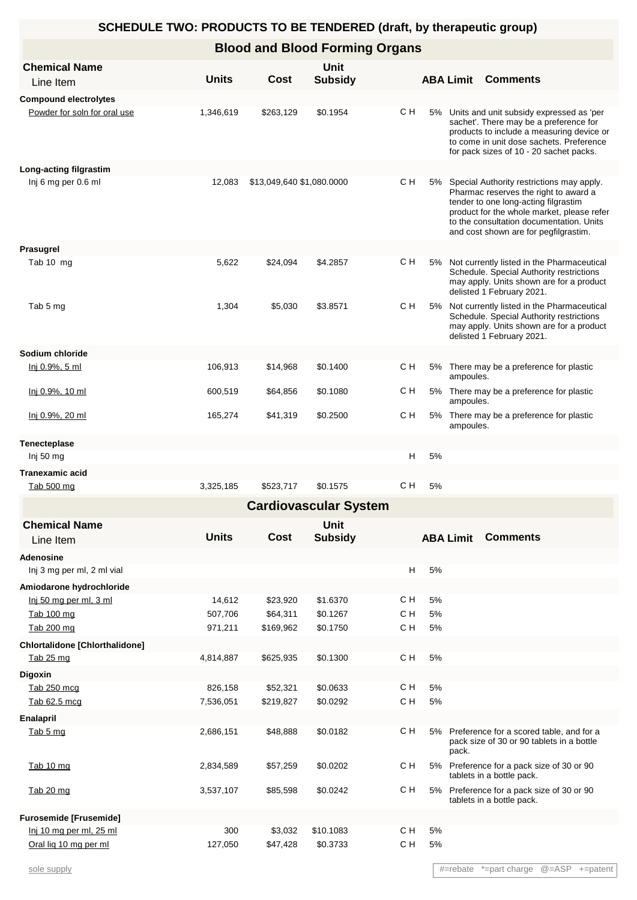### **Blood and Blood Forming Organs**

| <b>Chemical Name</b><br>Line Item     | <b>Units</b> | Cost                      | <b>Unit</b><br><b>Subsidy</b> |               |         | <b>ABA Limit</b> | <b>Comments</b>                                                                                                                                                                                                                                               |
|---------------------------------------|--------------|---------------------------|-------------------------------|---------------|---------|------------------|---------------------------------------------------------------------------------------------------------------------------------------------------------------------------------------------------------------------------------------------------------------|
| <b>Compound electrolytes</b>          |              |                           |                               |               |         |                  |                                                                                                                                                                                                                                                               |
| Powder for soln for oral use          | 1,346,619    | \$263,129                 | \$0.1954                      | C H           |         |                  | 5% Units and unit subsidy expressed as 'per<br>sachet'. There may be a preference for<br>products to include a measuring device or<br>to come in unit dose sachets. Preference<br>for pack sizes of 10 - 20 sachet packs.                                     |
| Long-acting filgrastim                |              |                           |                               |               |         |                  |                                                                                                                                                                                                                                                               |
| Inj 6 mg per 0.6 ml                   | 12,083       | \$13,049,640 \$1,080.0000 |                               | CН            | 5%      |                  | Special Authority restrictions may apply.<br>Pharmac reserves the right to award a<br>tender to one long-acting filgrastim<br>product for the whole market, please refer<br>to the consultation documentation. Units<br>and cost shown are for pegfilgrastim. |
| Prasugrel                             |              |                           |                               |               |         |                  |                                                                                                                                                                                                                                                               |
| Tab 10 mg                             | 5,622        | \$24,094                  | \$4.2857                      | C H           | 5%      |                  | Not currently listed in the Pharmaceutical<br>Schedule. Special Authority restrictions<br>may apply. Units shown are for a product<br>delisted 1 February 2021.                                                                                               |
| Tab 5 mg                              | 1,304        | \$5,030                   | \$3.8571                      | C H           | 5%      |                  | Not currently listed in the Pharmaceutical<br>Schedule. Special Authority restrictions<br>may apply. Units shown are for a product<br>delisted 1 February 2021.                                                                                               |
| Sodium chloride                       |              |                           |                               |               |         |                  |                                                                                                                                                                                                                                                               |
| <u>lnj 0.9%, 5 ml</u>                 | 106,913      | \$14,968                  | \$0.1400                      | C H           |         | ampoules.        | 5% There may be a preference for plastic                                                                                                                                                                                                                      |
| <u>lnj 0.9%, 10 ml</u>                | 600,519      | \$64,856                  | \$0.1080                      | C H           |         | ampoules.        | 5% There may be a preference for plastic                                                                                                                                                                                                                      |
| Inj 0.9%, 20 ml                       | 165,274      | \$41,319                  | \$0.2500                      | cн            | 5%      | ampoules.        | There may be a preference for plastic                                                                                                                                                                                                                         |
| <b>Tenecteplase</b>                   |              |                           |                               |               |         |                  |                                                                                                                                                                                                                                                               |
| Inj 50 mg                             |              |                           |                               |               | н<br>5% |                  |                                                                                                                                                                                                                                                               |
| <b>Tranexamic acid</b>                |              |                           |                               |               |         |                  |                                                                                                                                                                                                                                                               |
| Tab 500 mg                            | 3,325,185    | \$523,717                 | \$0.1575                      | C H           | 5%      |                  |                                                                                                                                                                                                                                                               |
|                                       |              |                           | <b>Cardiovascular System</b>  |               |         |                  |                                                                                                                                                                                                                                                               |
| <b>Chemical Name</b><br>Line Item     | <b>Units</b> | Cost                      | <b>Unit</b><br><b>Subsidy</b> |               |         | <b>ABA Limit</b> | <b>Comments</b>                                                                                                                                                                                                                                               |
| <b>Adenosine</b>                      |              |                           |                               |               |         |                  |                                                                                                                                                                                                                                                               |
| Inj 3 mg per ml, 2 ml vial            |              |                           |                               |               | н<br>5% |                  |                                                                                                                                                                                                                                                               |
| Amiodarone hydrochloride              |              |                           |                               |               |         |                  |                                                                                                                                                                                                                                                               |
| Inj 50 mg per ml, 3 ml                | 14,612       | \$23,920                  | \$1.6370                      | C H           | 5%      |                  |                                                                                                                                                                                                                                                               |
| Tab 100 mg                            | 507,706      | \$64,311                  | \$0.1267                      | C H           | 5%      |                  |                                                                                                                                                                                                                                                               |
| Tab 200 mg                            | 971,211      | \$169,962                 | \$0.1750                      | C H           | 5%      |                  |                                                                                                                                                                                                                                                               |
| <b>Chlortalidone [Chlorthalidone]</b> |              |                           |                               |               |         |                  |                                                                                                                                                                                                                                                               |
| Tab 25 mg                             | 4,814,887    | \$625,935                 | \$0.1300                      | C H           | 5%      |                  |                                                                                                                                                                                                                                                               |
| <b>Digoxin</b>                        |              |                           |                               |               |         |                  |                                                                                                                                                                                                                                                               |
| Tab 250 mcg                           | 826,158      | \$52,321                  | \$0.0633                      | C H           | 5%      |                  |                                                                                                                                                                                                                                                               |
| Tab 62.5 mcg                          | 7,536,051    | \$219,827                 | \$0.0292                      | C H           | 5%      |                  |                                                                                                                                                                                                                                                               |
| <b>Enalapril</b>                      |              |                           |                               |               |         |                  |                                                                                                                                                                                                                                                               |
| Tab 5 mg                              | 2,686,151    | \$48,888                  | \$0.0182                      | $\mathsf C$ H | 5%      | pack.            | Preference for a scored table, and for a<br>pack size of 30 or 90 tablets in a bottle                                                                                                                                                                         |
| Tab 10 mg                             | 2,834,589    | \$57,259                  | \$0.0202                      | C H           | 5%      |                  | Preference for a pack size of 30 or 90<br>tablets in a bottle pack.                                                                                                                                                                                           |
| Tab 20 mg                             | 3,537,107    | \$85,598                  | \$0.0242                      | C H           | 5%      |                  | Preference for a pack size of 30 or 90<br>tablets in a bottle pack.                                                                                                                                                                                           |
| <b>Furosemide [Frusemide]</b>         |              |                           |                               |               |         |                  |                                                                                                                                                                                                                                                               |
| Inj 10 mg per ml, 25 ml               | 300          | \$3,032                   | \$10.1083                     | C H           | 5%      |                  |                                                                                                                                                                                                                                                               |
| Oral lig 10 mg per ml                 | 127,050      | \$47,428                  | \$0.3733                      | C H           | $5\%$   |                  |                                                                                                                                                                                                                                                               |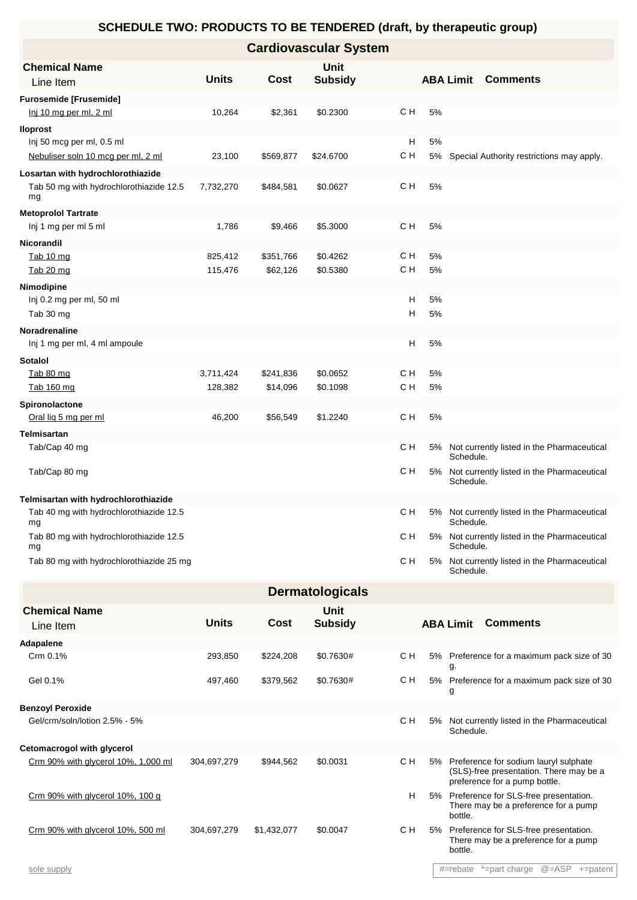| <b>Cardiovascular System</b>                                    |              |           |                        |          |          |                  |                                               |  |  |
|-----------------------------------------------------------------|--------------|-----------|------------------------|----------|----------|------------------|-----------------------------------------------|--|--|
| <b>Chemical Name</b><br>Line Item                               | <b>Units</b> | Cost      | Unit<br><b>Subsidy</b> |          |          | <b>ABA Limit</b> | <b>Comments</b>                               |  |  |
| <b>Furosemide [Frusemide]</b>                                   |              |           |                        |          |          |                  |                                               |  |  |
| lnj 10 mg per ml, 2 ml                                          | 10,264       | \$2,361   | \$0.2300               | C H      | 5%       |                  |                                               |  |  |
| lloprost                                                        |              |           |                        |          |          |                  |                                               |  |  |
| Inj 50 mcg per ml, 0.5 ml<br>Nebuliser soln 10 mcg per ml, 2 ml | 23,100       | \$569,877 | \$24.6700              | н<br>C H | 5%<br>5% |                  | Special Authority restrictions may apply.     |  |  |
| Losartan with hydrochlorothiazide                               |              |           |                        |          |          |                  |                                               |  |  |
| Tab 50 mg with hydrochlorothiazide 12.5<br>mg                   | 7,732,270    | \$484,581 | \$0.0627               | C H      | 5%       |                  |                                               |  |  |
| <b>Metoprolol Tartrate</b>                                      |              |           |                        |          |          |                  |                                               |  |  |
| Inj 1 mg per ml 5 ml                                            | 1,786        | \$9,466   | \$5.3000               | C H      | 5%       |                  |                                               |  |  |
| <b>Nicorandil</b>                                               |              |           |                        |          |          |                  |                                               |  |  |
| Tab 10 mg                                                       | 825,412      | \$351,766 | \$0.4262               | C H      | 5%       |                  |                                               |  |  |
| Tab 20 mg                                                       | 115,476      | \$62,126  | \$0.5380               | C H      | 5%       |                  |                                               |  |  |
| Nimodipine                                                      |              |           |                        |          |          |                  |                                               |  |  |
| Inj 0.2 mg per ml, 50 ml<br>Tab 30 mg                           |              |           |                        | н<br>н   | 5%<br>5% |                  |                                               |  |  |
| Noradrenaline                                                   |              |           |                        |          |          |                  |                                               |  |  |
| Inj 1 mg per ml, 4 ml ampoule                                   |              |           |                        | Н        | 5%       |                  |                                               |  |  |
| <b>Sotalol</b>                                                  |              |           |                        |          |          |                  |                                               |  |  |
| Tab 80 mg                                                       | 3,711,424    | \$241,836 | \$0.0652               | CН       | 5%       |                  |                                               |  |  |
| <u>Tab 160 mg</u>                                               | 128,382      | \$14,096  | \$0.1098               | C H      | 5%       |                  |                                               |  |  |
| Spironolactone                                                  |              |           |                        |          |          |                  |                                               |  |  |
| Oral lig 5 mg per ml                                            | 46,200       | \$56,549  | \$1.2240               | CН       | 5%       |                  |                                               |  |  |
| <b>Telmisartan</b>                                              |              |           |                        |          |          |                  |                                               |  |  |
| Tab/Cap 40 mg                                                   |              |           |                        | C H      | 5%       | Schedule.        | Not currently listed in the Pharmaceutical    |  |  |
| Tab/Cap 80 mg                                                   |              |           |                        | CН       | 5%       | Schedule.        | Not currently listed in the Pharmaceutical    |  |  |
| Telmisartan with hydrochlorothiazide                            |              |           |                        |          |          |                  |                                               |  |  |
| Tab 40 mg with hydrochlorothiazide 12.5<br>mg                   |              |           |                        | C H      | 5%       | Schedule.        | Not currently listed in the Pharmaceutical    |  |  |
| Tab 80 mg with hydrochlorothiazide 12.5<br>mg                   |              |           |                        | C H      |          | Schedule.        | 5% Not currently listed in the Pharmaceutical |  |  |
| Tab 80 mg with hydrochlorothiazide 25 mg                        |              |           |                        | C H      | 5%       | Schedule.        | Not currently listed in the Pharmaceutical    |  |  |

| <b>Dermatologicals</b>              |              |             |                        |                                                                                                                             |  |  |  |  |  |  |
|-------------------------------------|--------------|-------------|------------------------|-----------------------------------------------------------------------------------------------------------------------------|--|--|--|--|--|--|
| <b>Chemical Name</b><br>Line Item   | <b>Units</b> | Cost        | Unit<br><b>Subsidy</b> | <b>Comments</b><br><b>ABA Limit</b>                                                                                         |  |  |  |  |  |  |
| Adapalene                           |              |             |                        |                                                                                                                             |  |  |  |  |  |  |
| Crm 0.1%                            | 293,850      | \$224,208   | \$0.7630#              | CН<br>5% Preference for a maximum pack size of 30<br>g.                                                                     |  |  |  |  |  |  |
| Gel 0.1%                            | 497,460      | \$379,562   | \$0.7630#              | C H<br>5% Preference for a maximum pack size of 30<br>g                                                                     |  |  |  |  |  |  |
| <b>Benzoyl Peroxide</b>             |              |             |                        |                                                                                                                             |  |  |  |  |  |  |
| Gel/crm/soln/lotion 2.5% - 5%       |              |             |                        | C H<br>Not currently listed in the Pharmaceutical<br>5%<br>Schedule.                                                        |  |  |  |  |  |  |
| Cetomacrogol with glycerol          |              |             |                        |                                                                                                                             |  |  |  |  |  |  |
| Crm 90% with glycerol 10%, 1,000 ml | 304,697,279  | \$944,562   | \$0.0031               | C H<br>5% Preference for sodium lauryl sulphate<br>(SLS)-free presentation. There may be a<br>preference for a pump bottle. |  |  |  |  |  |  |
| Crm 90% with glycerol 10%, 100 g    |              |             |                        | H<br>5% Preference for SLS-free presentation.<br>There may be a preference for a pump<br>bottle.                            |  |  |  |  |  |  |
| Crm 90% with glycerol 10%, 500 ml   | 304,697,279  | \$1,432,077 | \$0.0047               | C H<br>Preference for SLS-free presentation.<br>5%<br>There may be a preference for a pump<br>bottle.                       |  |  |  |  |  |  |

sole supply #=rebate \*=part charge @=ASP +=patent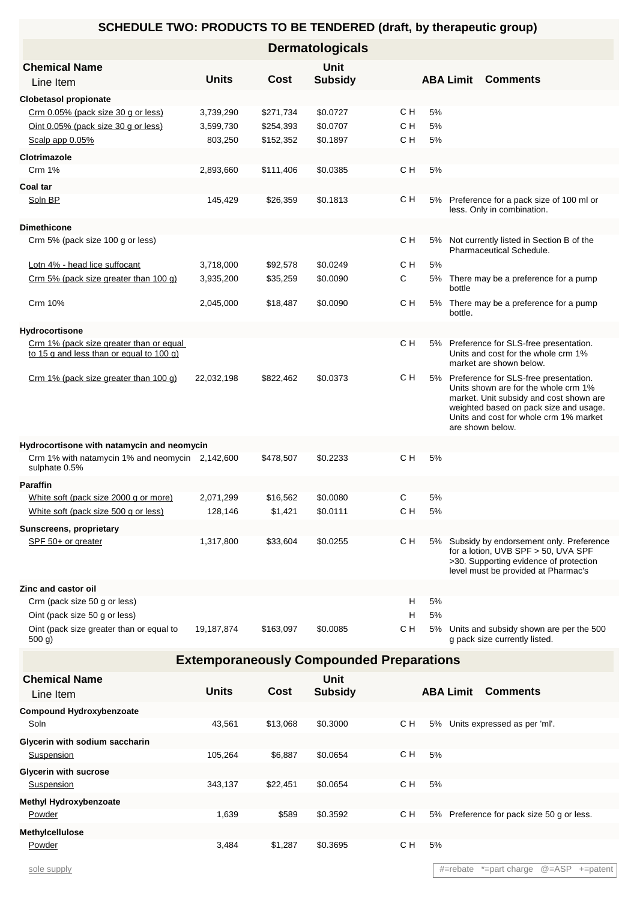|                                                                                     |              |           | <b>Dermatologicals</b> |                                                 |    |                  |                                                                                                                                                                                                                                     |
|-------------------------------------------------------------------------------------|--------------|-----------|------------------------|-------------------------------------------------|----|------------------|-------------------------------------------------------------------------------------------------------------------------------------------------------------------------------------------------------------------------------------|
| <b>Chemical Name</b>                                                                |              |           | <b>Unit</b>            |                                                 |    |                  |                                                                                                                                                                                                                                     |
| Line Item                                                                           | <b>Units</b> | Cost      | <b>Subsidy</b>         |                                                 |    | <b>ABA Limit</b> | <b>Comments</b>                                                                                                                                                                                                                     |
| <b>Clobetasol propionate</b>                                                        |              |           |                        |                                                 |    |                  |                                                                                                                                                                                                                                     |
| Crm 0.05% (pack size 30 g or less)                                                  | 3,739,290    | \$271,734 | \$0.0727               | с н                                             | 5% |                  |                                                                                                                                                                                                                                     |
| Oint 0.05% (pack size 30 g or less)                                                 | 3,599,730    | \$254,393 | \$0.0707               | C H                                             | 5% |                  |                                                                                                                                                                                                                                     |
| Scalp app 0.05%                                                                     | 803,250      | \$152,352 | \$0.1897               | C H                                             | 5% |                  |                                                                                                                                                                                                                                     |
| Clotrimazole                                                                        |              |           |                        |                                                 |    |                  |                                                                                                                                                                                                                                     |
| <b>Crm 1%</b>                                                                       | 2,893,660    | \$111,406 | \$0.0385               | C H                                             | 5% |                  |                                                                                                                                                                                                                                     |
| Coal tar                                                                            |              |           |                        |                                                 |    |                  |                                                                                                                                                                                                                                     |
| Soln BP                                                                             | 145,429      | \$26,359  | \$0.1813               | C H                                             | 5% |                  | Preference for a pack size of 100 ml or<br>less. Only in combination.                                                                                                                                                               |
| <b>Dimethicone</b>                                                                  |              |           |                        |                                                 |    |                  |                                                                                                                                                                                                                                     |
| Crm 5% (pack size 100 g or less)                                                    |              |           |                        | C H                                             | 5% |                  | Not currently listed in Section B of the<br>Pharmaceutical Schedule.                                                                                                                                                                |
| Lotn 4% - head lice suffocant                                                       | 3,718,000    | \$92,578  | \$0.0249               | с н                                             | 5% |                  |                                                                                                                                                                                                                                     |
| Crm 5% (pack size greater than 100 g)                                               | 3,935,200    | \$35,259  | \$0.0090               | С                                               | 5% | bottle           | There may be a preference for a pump                                                                                                                                                                                                |
| Crm 10%                                                                             | 2,045,000    | \$18,487  | \$0.0090               | C H                                             | 5% | bottle.          | There may be a preference for a pump                                                                                                                                                                                                |
| Hydrocortisone                                                                      |              |           |                        |                                                 |    |                  |                                                                                                                                                                                                                                     |
| Crm 1% (pack size greater than or equal<br>to 15 g and less than or equal to 100 g) |              |           |                        | C H                                             |    |                  | 5% Preference for SLS-free presentation.<br>Units and cost for the whole crm 1%<br>market are shown below.                                                                                                                          |
| Crm 1% (pack size greater than 100 g)                                               | 22,032,198   | \$822,462 | \$0.0373               | C H                                             |    |                  | 5% Preference for SLS-free presentation.<br>Units shown are for the whole crm 1%<br>market. Unit subsidy and cost shown are<br>weighted based on pack size and usage.<br>Units and cost for whole crm 1% market<br>are shown below. |
| Hydrocortisone with natamycin and neomycin                                          |              |           |                        |                                                 |    |                  |                                                                                                                                                                                                                                     |
| Crm 1% with natamycin 1% and neomycin 2,142,600<br>sulphate 0.5%                    |              | \$478,507 | \$0.2233               | C H                                             | 5% |                  |                                                                                                                                                                                                                                     |
| <b>Paraffin</b>                                                                     |              |           |                        |                                                 |    |                  |                                                                                                                                                                                                                                     |
| White soft (pack size 2000 g or more)                                               | 2,071,299    | \$16,562  | \$0.0080               | C                                               | 5% |                  |                                                                                                                                                                                                                                     |
| White soft (pack size 500 g or less)                                                | 128,146      | \$1,421   | \$0.0111               | C H                                             | 5% |                  |                                                                                                                                                                                                                                     |
| <b>Sunscreens, proprietary</b>                                                      |              |           |                        |                                                 |    |                  |                                                                                                                                                                                                                                     |
| SPF 50+ or greater                                                                  | 1,317,800    | \$33,604  | \$0.0255               | с н                                             |    |                  | 5% Subsidy by endorsement only. Preference<br>for a lotion, UVB SPF > 50, UVA SPF<br>>30. Supporting evidence of protection<br>level must be provided at Pharmac's                                                                  |
| Zinc and castor oil                                                                 |              |           |                        |                                                 |    |                  |                                                                                                                                                                                                                                     |
| Crm (pack size 50 g or less)                                                        |              |           |                        | H                                               | 5% |                  |                                                                                                                                                                                                                                     |
| Oint (pack size 50 g or less)                                                       |              |           |                        | н                                               | 5% |                  |                                                                                                                                                                                                                                     |
| Oint (pack size greater than or equal to<br>500 g)                                  | 19,187,874   | \$163,097 | \$0.0085               | с н                                             | 5% |                  | Units and subsidy shown are per the 500<br>g pack size currently listed.                                                                                                                                                            |
|                                                                                     |              |           |                        | <b>Extemporaneously Compounded Preparations</b> |    |                  |                                                                                                                                                                                                                                     |
| <b>Chemical Name</b>                                                                |              |           | <b>Unit</b>            |                                                 |    |                  |                                                                                                                                                                                                                                     |
| Line Item                                                                           | <b>Units</b> | Cost      | <b>Subsidy</b>         |                                                 |    | <b>ABA Limit</b> | <b>Comments</b>                                                                                                                                                                                                                     |
| <b>Compound Hydroxybenzoate</b>                                                     |              |           |                        |                                                 |    |                  |                                                                                                                                                                                                                                     |
| Soln                                                                                | 43,561       | \$13,068  | \$0.3000               | с н                                             |    |                  | 5% Units expressed as per 'ml'.                                                                                                                                                                                                     |
| Glycerin with sodium saccharin                                                      |              |           |                        |                                                 |    |                  |                                                                                                                                                                                                                                     |
| Suspension                                                                          | 105,264      | \$6,887   | \$0.0654               | C H                                             | 5% |                  |                                                                                                                                                                                                                                     |
| <b>Glycerin with sucrose</b>                                                        |              |           |                        |                                                 |    |                  |                                                                                                                                                                                                                                     |
| <b>Suspension</b>                                                                   | 343,137      | \$22,451  | \$0.0654               | C H                                             | 5% |                  |                                                                                                                                                                                                                                     |
| Methyl Hydroxybenzoate                                                              |              |           |                        |                                                 |    |                  |                                                                                                                                                                                                                                     |
| Powder                                                                              | 1,639        | \$589     | \$0.3592               | C H                                             |    |                  | 5% Preference for pack size 50 g or less.                                                                                                                                                                                           |

Powder 3,484 \$1,287 \$0.3695 C H 5%

**Methylcellulose**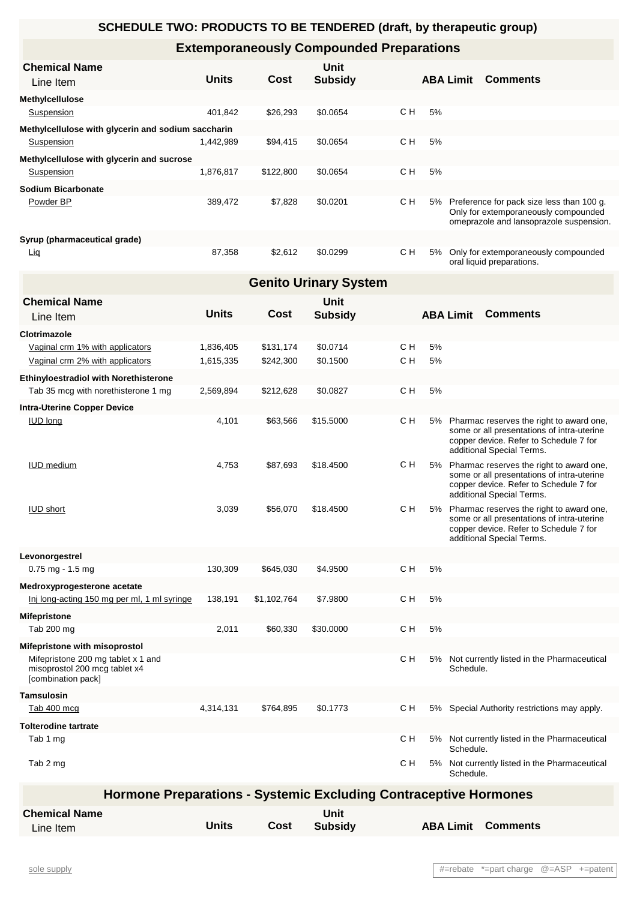# **Extemporaneously Compounded Preparations**

| <b>Chemical Name</b>                               |              |           | Unit           |     |    |                  |                                                                                                                              |
|----------------------------------------------------|--------------|-----------|----------------|-----|----|------------------|------------------------------------------------------------------------------------------------------------------------------|
| Line Item                                          | <b>Units</b> | Cost      | <b>Subsidy</b> |     |    | <b>ABA Limit</b> | <b>Comments</b>                                                                                                              |
| <b>Methylcellulose</b>                             |              |           |                |     |    |                  |                                                                                                                              |
| Suspension                                         | 401.842      | \$26,293  | \$0.0654       | C H | 5% |                  |                                                                                                                              |
| Methylcellulose with glycerin and sodium saccharin |              |           |                |     |    |                  |                                                                                                                              |
| Suspension                                         | 1.442.989    | \$94.415  | \$0.0654       | C H | 5% |                  |                                                                                                                              |
| Methylcellulose with glycerin and sucrose          |              |           |                |     |    |                  |                                                                                                                              |
| <b>Suspension</b>                                  | 1,876,817    | \$122,800 | \$0.0654       | C H | 5% |                  |                                                                                                                              |
| Sodium Bicarbonate                                 |              |           |                |     |    |                  |                                                                                                                              |
| Powder BP                                          | 389.472      | \$7,828   | \$0.0201       | C H | 5% |                  | Preference for pack size less than 100 g.<br>Only for extemporaneously compounded<br>omeprazole and lansoprazole suspension. |
| Syrup (pharmaceutical grade)                       |              |           |                |     |    |                  |                                                                                                                              |
| Lig                                                | 87,358       | \$2,612   | \$0.0299       | C H | 5% |                  | Only for extemporaneously compounded<br>oral liquid preparations.                                                            |

| <b>Genito Urinary System</b>                                                              |              |             |                               |            |    |                  |                                                                                                                                                                  |  |  |  |
|-------------------------------------------------------------------------------------------|--------------|-------------|-------------------------------|------------|----|------------------|------------------------------------------------------------------------------------------------------------------------------------------------------------------|--|--|--|
| <b>Chemical Name</b><br>Line Item                                                         | <b>Units</b> | Cost        | Unit<br><b>Subsidy</b>        |            |    | <b>ABA Limit</b> | <b>Comments</b>                                                                                                                                                  |  |  |  |
| Clotrimazole                                                                              |              |             |                               |            |    |                  |                                                                                                                                                                  |  |  |  |
| Vaginal crm 1% with applicators                                                           | 1,836,405    | \$131,174   | \$0.0714                      | C H<br>C H | 5% |                  |                                                                                                                                                                  |  |  |  |
| Vaginal crm 2% with applicators                                                           | 1,615,335    | \$242,300   | \$0.1500                      |            | 5% |                  |                                                                                                                                                                  |  |  |  |
| <b>Ethinyloestradiol with Norethisterone</b><br>Tab 35 mcg with norethisterone 1 mg       |              |             |                               |            | 5% |                  |                                                                                                                                                                  |  |  |  |
|                                                                                           | 2,569,894    | \$212,628   | \$0.0827                      | C H        |    |                  |                                                                                                                                                                  |  |  |  |
| <b>Intra-Uterine Copper Device</b>                                                        |              |             |                               | с н        |    |                  | 5% Pharmac reserves the right to award one,                                                                                                                      |  |  |  |
| <b>IUD</b> long                                                                           | 4,101        | \$63,566    | \$15.5000                     |            |    |                  | some or all presentations of intra-uterine<br>copper device. Refer to Schedule 7 for<br>additional Special Terms.                                                |  |  |  |
| <b>IUD</b> medium                                                                         | 4,753        | \$87,693    | \$18.4500                     | C H        |    |                  | 5% Pharmac reserves the right to award one,<br>some or all presentations of intra-uterine<br>copper device. Refer to Schedule 7 for<br>additional Special Terms. |  |  |  |
| <b>IUD short</b>                                                                          | 3,039        | \$56,070    | \$18.4500                     | C H        | 5% |                  | Pharmac reserves the right to award one,<br>some or all presentations of intra-uterine<br>copper device. Refer to Schedule 7 for<br>additional Special Terms.    |  |  |  |
| Levonorgestrel                                                                            |              |             |                               |            |    |                  |                                                                                                                                                                  |  |  |  |
| $0.75$ mg - 1.5 mg                                                                        | 130,309      | \$645,030   | \$4.9500                      | C H        | 5% |                  |                                                                                                                                                                  |  |  |  |
| Medroxyprogesterone acetate                                                               |              |             |                               |            |    |                  |                                                                                                                                                                  |  |  |  |
| Inj long-acting 150 mg per ml, 1 ml syringe                                               | 138,191      | \$1,102,764 | \$7.9800                      | C H        | 5% |                  |                                                                                                                                                                  |  |  |  |
| <b>Mifepristone</b>                                                                       |              |             |                               |            |    |                  |                                                                                                                                                                  |  |  |  |
| Tab 200 mg                                                                                | 2,011        | \$60,330    | \$30.0000                     | C H        | 5% |                  |                                                                                                                                                                  |  |  |  |
| Mifepristone with misoprostol                                                             |              |             |                               |            |    |                  |                                                                                                                                                                  |  |  |  |
| Mifepristone 200 mg tablet x 1 and<br>misoprostol 200 mcg tablet x4<br>[combination pack] |              |             |                               | с н        |    | Schedule.        | 5% Not currently listed in the Pharmaceutical                                                                                                                    |  |  |  |
| <b>Tamsulosin</b>                                                                         |              |             |                               |            |    |                  |                                                                                                                                                                  |  |  |  |
| Tab 400 mcg                                                                               | 4,314,131    | \$764,895   | \$0.1773                      | с н        |    |                  | 5% Special Authority restrictions may apply.                                                                                                                     |  |  |  |
| <b>Tolterodine tartrate</b>                                                               |              |             |                               |            |    |                  |                                                                                                                                                                  |  |  |  |
| Tab 1 mg                                                                                  |              |             |                               | с н        | 5% | Schedule.        | Not currently listed in the Pharmaceutical                                                                                                                       |  |  |  |
| Tab 2 mg                                                                                  |              |             |                               | с н        |    | Schedule.        | 5% Not currently listed in the Pharmaceutical                                                                                                                    |  |  |  |
| <b>Hormone Preparations - Systemic Excluding Contraceptive Hormones</b>                   |              |             |                               |            |    |                  |                                                                                                                                                                  |  |  |  |
| <b>Chemical Name</b><br>Line Item                                                         | <b>Units</b> | <b>Cost</b> | <b>Unit</b><br><b>Subsidy</b> |            |    | <b>ABA Limit</b> | <b>Comments</b>                                                                                                                                                  |  |  |  |
|                                                                                           |              |             |                               |            |    |                  |                                                                                                                                                                  |  |  |  |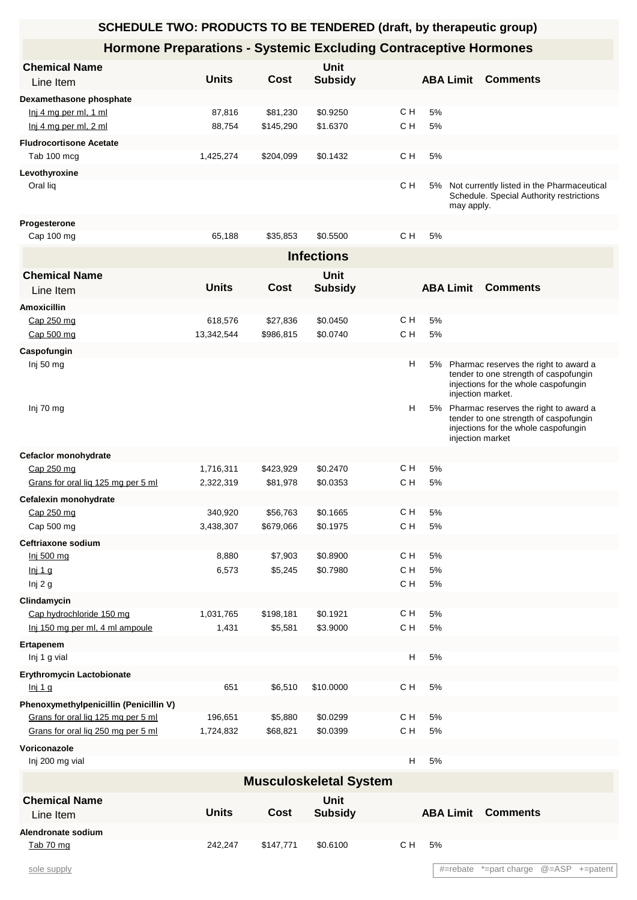#### **SCHEDULE TWO: PRODUCTS TO BE TENDERED (draft, by therapeutic group) Hormone Preparations - Systemic Excluding Contraceptive Hormones** Line Item **Chemical Name** Units Cost Subsidy ABA Limit Comments **Unit Dexamethasone phosphate** Inj 4 mg per ml, 1 ml 87,816 \$81,230 \$0.9250 C H 5% Inj 4 mg per ml, 2 ml  $\begin{array}{cccc} 88,754 & 145,290 & 16370 \end{array}$  C H 5% **Fludrocortisone Acetate** Tab 100 mcg 1,425,274 \$204,099 \$0.1432 C H 5% **Levothyroxine** Oral liq CH 5% Not currently listed in the Pharmaceutical Schedule. Special Authority restrictions may apply.  $C H$ **Progesterone** Cap 100 mg 65,188 \$35,853 \$0.5500 C H 5% **Infections** Line Item **Chemical Name** Units Cost Subsidy **ABA Limit Comments Unit Amoxicillin** Cap 250 mg 618,576 \$27,836 \$0.0450 CH 5% Cap 500 mg 13,342,544 \$986,815 \$0.0740 C H 5% **Caspofungin** Inj 50 mg Pharmac reserves the right to award a new Pharmac reserves the right to award a tender to one strength of caspofungin injections for the whole caspofungin injection market. H 5% Inj 70 mg Pharmac reserves the right to award a structure of the right to award a structure of the right to award a tender to one strength of caspofungin injections for the whole caspofungin injection market 5% **Cefaclor monohydrate** Cap 250 mg 1,716,311 \$423,929 \$0.2470 C H 5% Grans for oral liq 125 mg per 5 ml 2,322,319 \$81,978 \$0.0353 C H 5% **Cefalexin monohydrate** Cap 250 mg 340,920 \$56,763 \$0.1665 C H 5% Cap 500 mg 3,438,307 \$679,066 \$0.1975 C H 5% **Ceftriaxone sodium** Inj 500 mg 8,880 \$7,903 \$0.8900 C H 5% Inj 1 g 6,573 \$5,245 \$0.7980 C H 5% Inj 2 g C H 5% **Clindamycin** Cap hydrochloride 150 mg 1,031,765 \$198,181 \$0.1921 C H 5% Inj 150 mg per ml, 4 ml ampoule 1,431 \$5,581 \$3.9000 C H 5% **Ertapenem** Inj 1 g vial H 5% **Erythromycin Lactobionate** Inj 1 g 651 \$6,510 \$10.0000 C H 5% **Phenoxymethylpenicillin (Penicillin V)** Grans for oral lig 125 mg per 5 ml  $196,651$  \$5,880 \$0.0299 C H 5% Grans for oral liq 250 mg per 5 ml 1,724,832 \$68,821 \$0.0399 C H 5% **Voriconazole** Inj 200 mg vial H 5% **Musculoskeletal System** Line Item **Chemical Name** Units Cost Subsidy **ABA Limit Comments Unit Cost Subsidy ABA Limit Alendronate sodium** Tab 70 mg 242,247 \$147,771 \$0.6100 C H 5%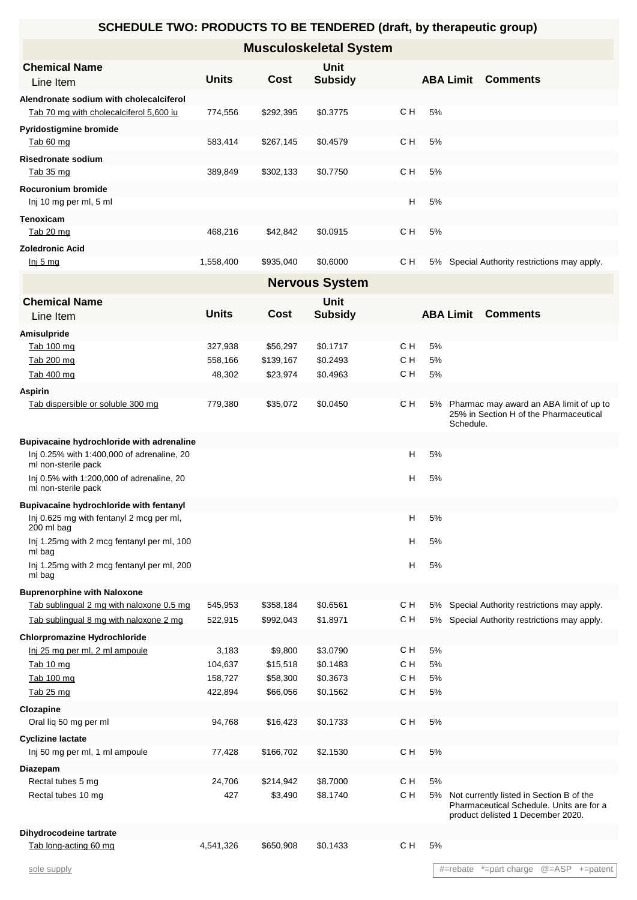| <b>Musculoskeletal System</b>           |              |           |                               |     |                  |  |                                              |  |  |
|-----------------------------------------|--------------|-----------|-------------------------------|-----|------------------|--|----------------------------------------------|--|--|
| <b>Chemical Name</b><br>Line Item       | <b>Units</b> | Cost      | <b>Unit</b><br><b>Subsidy</b> |     | <b>ABA Limit</b> |  | <b>Comments</b>                              |  |  |
| Alendronate sodium with cholecalciferol |              |           |                               |     |                  |  |                                              |  |  |
| Tab 70 mg with cholecalciferol 5,600 iu | 774,556      | \$292,395 | \$0.3775                      | C H | 5%               |  |                                              |  |  |
| <b>Pyridostigmine bromide</b>           |              |           |                               |     |                  |  |                                              |  |  |
| Tab 60 mg                               | 583,414      | \$267,145 | \$0.4579                      | C H | 5%               |  |                                              |  |  |
| <b>Risedronate sodium</b>               |              |           |                               |     |                  |  |                                              |  |  |
| Tab 35 mg                               | 389,849      | \$302,133 | \$0.7750                      | C H | 5%               |  |                                              |  |  |
| Rocuronium bromide                      |              |           |                               |     |                  |  |                                              |  |  |
| Inj 10 mg per ml, 5 ml                  |              |           |                               | н   | 5%               |  |                                              |  |  |
| <b>Tenoxicam</b>                        |              |           |                               |     |                  |  |                                              |  |  |
| <u>Tab 20 mg</u>                        | 468,216      | \$42,842  | \$0.0915                      | C H | 5%               |  |                                              |  |  |
| <b>Zoledronic Acid</b>                  |              |           |                               |     |                  |  |                                              |  |  |
| Inj 5 mg                                | 1,558,400    | \$935,040 | \$0.6000                      | C H |                  |  | 5% Special Authority restrictions may apply. |  |  |
| <b>Nervous System</b>                   |              |           |                               |     |                  |  |                                              |  |  |

| <b>Chemical Name</b><br>Line Item                                 | <b>Units</b> | Cost      | Unit<br><b>Subsidy</b> |     |    | <b>ABA Limit</b> | <b>Comments</b>                                                                                                              |
|-------------------------------------------------------------------|--------------|-----------|------------------------|-----|----|------------------|------------------------------------------------------------------------------------------------------------------------------|
| Amisulpride                                                       |              |           |                        |     |    |                  |                                                                                                                              |
| Tab 100 mg                                                        | 327,938      | \$56,297  | \$0.1717               | C H | 5% |                  |                                                                                                                              |
| Tab 200 mg                                                        | 558,166      | \$139,167 | \$0.2493               | C H | 5% |                  |                                                                                                                              |
| Tab 400 mg                                                        | 48,302       | \$23,974  | \$0.4963               | C H | 5% |                  |                                                                                                                              |
| <b>Aspirin</b>                                                    |              |           |                        |     |    |                  |                                                                                                                              |
| Tab dispersible or soluble 300 mg                                 | 779,380      | \$35,072  | \$0.0450               | C H |    | Schedule.        | 5% Pharmac may award an ABA limit of up to<br>25% in Section H of the Pharmaceutical                                         |
| Bupivacaine hydrochloride with adrenaline                         |              |           |                        |     |    |                  |                                                                                                                              |
| Inj 0.25% with 1:400,000 of adrenaline, 20<br>ml non-sterile pack |              |           |                        | н   | 5% |                  |                                                                                                                              |
| Inj 0.5% with 1:200,000 of adrenaline, 20<br>ml non-sterile pack  |              |           |                        | н   | 5% |                  |                                                                                                                              |
| <b>Bupivacaine hydrochloride with fentanyl</b>                    |              |           |                        |     |    |                  |                                                                                                                              |
| Inj 0.625 mg with fentanyl 2 mcg per ml,<br>200 ml bag            |              |           |                        | н   | 5% |                  |                                                                                                                              |
| Inj 1.25mg with 2 mcg fentanyl per ml, 100<br>ml bag              |              |           |                        | н   | 5% |                  |                                                                                                                              |
| Inj 1.25mg with 2 mcg fentanyl per ml, 200<br>ml bag              |              |           |                        | H   | 5% |                  |                                                                                                                              |
| <b>Buprenorphine with Naloxone</b>                                |              |           |                        |     |    |                  |                                                                                                                              |
| Tab sublingual 2 mg with naloxone 0.5 mg                          | 545,953      | \$358,184 | \$0.6561               | C H |    |                  | 5% Special Authority restrictions may apply.                                                                                 |
| Tab sublingual 8 mg with naloxone 2 mg                            | 522,915      | \$992,043 | \$1.8971               | с н |    |                  | 5% Special Authority restrictions may apply.                                                                                 |
| <b>Chlorpromazine Hydrochloride</b>                               |              |           |                        |     |    |                  |                                                                                                                              |
| Inj 25 mg per ml, 2 ml ampoule                                    | 3,183        | \$9,800   | \$3.0790               | C H | 5% |                  |                                                                                                                              |
| Tab 10 mg                                                         | 104,637      | \$15,518  | \$0.1483               | C H | 5% |                  |                                                                                                                              |
| Tab 100 mg                                                        | 158,727      | \$58,300  | \$0.3673               | C H | 5% |                  |                                                                                                                              |
| Tab 25 mg                                                         | 422,894      | \$66,056  | \$0.1562               | C H | 5% |                  |                                                                                                                              |
| Clozapine                                                         |              |           |                        |     |    |                  |                                                                                                                              |
| Oral lig 50 mg per ml                                             | 94,768       | \$16,423  | \$0.1733               | C H | 5% |                  |                                                                                                                              |
| <b>Cyclizine lactate</b>                                          |              |           |                        |     |    |                  |                                                                                                                              |
| Inj 50 mg per ml, 1 ml ampoule                                    | 77,428       | \$166,702 | \$2.1530               | C H | 5% |                  |                                                                                                                              |
| Diazepam                                                          |              |           |                        |     |    |                  |                                                                                                                              |
| Rectal tubes 5 mg                                                 | 24,706       | \$214,942 | \$8.7000               | C H | 5% |                  |                                                                                                                              |
| Rectal tubes 10 mg                                                | 427          | \$3,490   | \$8.1740               | C H |    |                  | 5% Not currently listed in Section B of the<br>Pharmaceutical Schedule. Units are for a<br>product delisted 1 December 2020. |
| Dihydrocodeine tartrate                                           |              |           |                        |     |    |                  |                                                                                                                              |

Tab long-acting 60 mg<br>
4,541,326 \$650,908 \$0.1433 C H 5%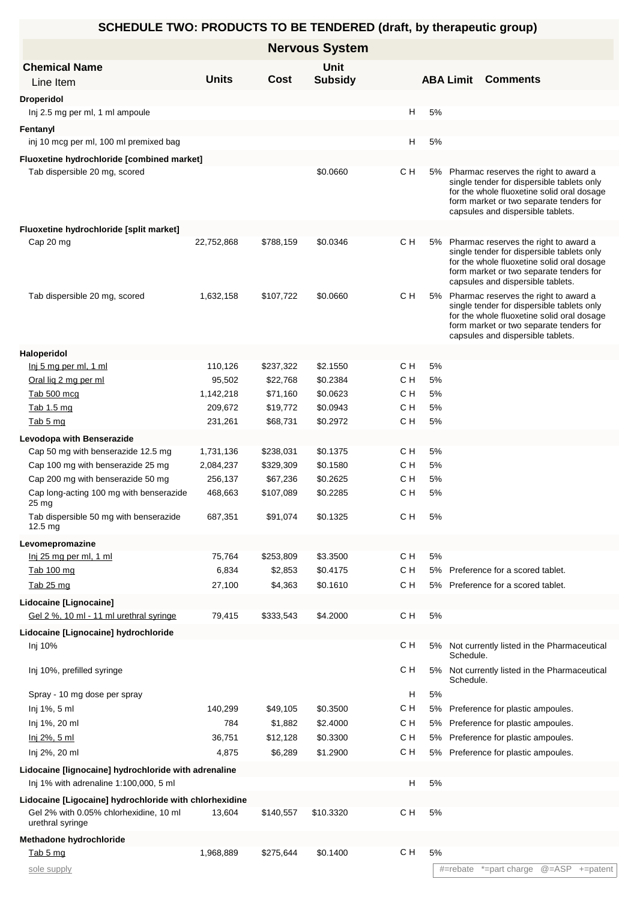|                                                                                                                      |                    |                       | <b>Nervous System</b> |           |          |           |                                                                                                                                                                                                                      |
|----------------------------------------------------------------------------------------------------------------------|--------------------|-----------------------|-----------------------|-----------|----------|-----------|----------------------------------------------------------------------------------------------------------------------------------------------------------------------------------------------------------------------|
| <b>Chemical Name</b>                                                                                                 |                    |                       | <b>Unit</b>           |           |          |           |                                                                                                                                                                                                                      |
| Line Item                                                                                                            | <b>Units</b>       | Cost                  | <b>Subsidy</b>        |           |          |           | <b>ABA Limit Comments</b>                                                                                                                                                                                            |
| <b>Droperidol</b>                                                                                                    |                    |                       |                       |           |          |           |                                                                                                                                                                                                                      |
| Inj 2.5 mg per ml, 1 ml ampoule                                                                                      |                    |                       |                       |           | н<br>5%  |           |                                                                                                                                                                                                                      |
| Fentanyl                                                                                                             |                    |                       |                       |           |          |           |                                                                                                                                                                                                                      |
| inj 10 mcg per ml, 100 ml premixed bag                                                                               |                    |                       |                       |           | н<br>5%  |           |                                                                                                                                                                                                                      |
| Fluoxetine hydrochloride [combined market]                                                                           |                    |                       |                       |           |          |           |                                                                                                                                                                                                                      |
| Tab dispersible 20 mg, scored                                                                                        |                    |                       | \$0.0660              | C H       |          |           | 5% Pharmac reserves the right to award a<br>single tender for dispersible tablets only<br>for the whole fluoxetine solid oral dosage<br>form market or two separate tenders for<br>capsules and dispersible tablets. |
| Fluoxetine hydrochloride [split market]                                                                              |                    |                       |                       |           |          |           |                                                                                                                                                                                                                      |
| Cap 20 mg                                                                                                            | 22,752,868         | \$788,159             | \$0.0346              | с н       |          |           | 5% Pharmac reserves the right to award a<br>single tender for dispersible tablets only<br>for the whole fluoxetine solid oral dosage<br>form market or two separate tenders for<br>capsules and dispersible tablets. |
| Tab dispersible 20 mg, scored                                                                                        | 1,632,158          | \$107,722             | \$0.0660              | с н       |          |           | 5% Pharmac reserves the right to award a<br>single tender for dispersible tablets only<br>for the whole fluoxetine solid oral dosage<br>form market or two separate tenders for<br>capsules and dispersible tablets. |
| Haloperidol                                                                                                          |                    |                       |                       |           |          |           |                                                                                                                                                                                                                      |
| Inj 5 mg per ml, 1 ml                                                                                                | 110,126            | \$237,322             | \$2.1550              | C H       | 5%       |           |                                                                                                                                                                                                                      |
| Oral lig 2 mg per ml                                                                                                 | 95,502             | \$22,768              | \$0.2384              | C H       | 5%       |           |                                                                                                                                                                                                                      |
| Tab 500 mcg                                                                                                          | 1,142,218          | \$71,160              | \$0.0623              | C H       | 5%       |           |                                                                                                                                                                                                                      |
| Tab 1.5 mg                                                                                                           | 209,672            | \$19,772              | \$0.0943              | C H       | 5%       |           |                                                                                                                                                                                                                      |
| Tab 5 mg                                                                                                             | 231,261            | \$68,731              | \$0.2972              | C H       | 5%       |           |                                                                                                                                                                                                                      |
| Levodopa with Benserazide                                                                                            |                    |                       |                       |           |          |           |                                                                                                                                                                                                                      |
| Cap 50 mg with benserazide 12.5 mg                                                                                   | 1,731,136          | \$238,031             | \$0.1375              | C H       | 5%       |           |                                                                                                                                                                                                                      |
| Cap 100 mg with benserazide 25 mg                                                                                    | 2,084,237          | \$329,309             | \$0.1580              | C H       | 5%       |           |                                                                                                                                                                                                                      |
| Cap 200 mg with benserazide 50 mg<br>Cap long-acting 100 mg with benserazide                                         | 256,137<br>468,663 | \$67,236<br>\$107,089 | \$0.2625<br>\$0.2285  | CН<br>C H | 5%<br>5% |           |                                                                                                                                                                                                                      |
| 25 mg<br>Tab dispersible 50 mg with benserazide                                                                      | 687,351            | \$91,074              | \$0.1325              | с н       | 5%       |           |                                                                                                                                                                                                                      |
| 12.5 <sub>ma</sub>                                                                                                   |                    |                       |                       |           |          |           |                                                                                                                                                                                                                      |
| Levomepromazine                                                                                                      |                    |                       |                       |           |          |           |                                                                                                                                                                                                                      |
| Inj 25 mg per ml, 1 ml                                                                                               | 75,764             | \$253,809             | \$3.3500              | C H       | $5\%$    |           |                                                                                                                                                                                                                      |
| Tab 100 mg                                                                                                           | 6,834              | \$2,853               | \$0.4175              | C H       | 5%       |           | Preference for a scored tablet.                                                                                                                                                                                      |
| Tab 25 mg                                                                                                            | 27,100             | \$4,363               | \$0.1610              | C H       |          |           | 5% Preference for a scored tablet.                                                                                                                                                                                   |
| Lidocaine [Lignocaine]                                                                                               |                    |                       |                       |           |          |           |                                                                                                                                                                                                                      |
| Gel 2 %, 10 ml - 11 ml urethral syringe                                                                              | 79,415             | \$333,543             | \$4.2000              | C H       | $5\%$    |           |                                                                                                                                                                                                                      |
| Lidocaine [Lignocaine] hydrochloride                                                                                 |                    |                       |                       |           |          |           |                                                                                                                                                                                                                      |
| Inj 10%                                                                                                              |                    |                       |                       | с н       |          | Schedule. | 5% Not currently listed in the Pharmaceutical                                                                                                                                                                        |
| Inj 10%, prefilled syringe                                                                                           |                    |                       |                       | C H       | 5%       | Schedule. | Not currently listed in the Pharmaceutical                                                                                                                                                                           |
| Spray - 10 mg dose per spray                                                                                         |                    |                       |                       |           | н<br>5%  |           |                                                                                                                                                                                                                      |
| Inj 1%, 5 ml                                                                                                         | 140,299            | \$49,105              | \$0.3500              | C H       | 5%       |           | Preference for plastic ampoules.                                                                                                                                                                                     |
| Inj 1%, 20 ml                                                                                                        | 784                | \$1,882               | \$2.4000              | C H       | 5%       |           | Preference for plastic ampoules.                                                                                                                                                                                     |
| <u>lnj 2%, 5 ml</u>                                                                                                  | 36,751             | \$12,128              | \$0.3300              | C H       |          |           | 5% Preference for plastic ampoules.                                                                                                                                                                                  |
| Inj 2%, 20 ml                                                                                                        | 4,875              | \$6,289               | \$1.2900              | C H       |          |           | 5% Preference for plastic ampoules.                                                                                                                                                                                  |
| Lidocaine [lignocaine] hydrochloride with adrenaline                                                                 |                    |                       |                       |           |          |           |                                                                                                                                                                                                                      |
| Inj 1% with adrenaline 1:100,000, 5 ml                                                                               |                    |                       |                       |           | н<br>5%  |           |                                                                                                                                                                                                                      |
| Lidocaine [Ligocaine] hydrochloride with chlorhexidine<br>Gel 2% with 0.05% chlorhexidine, 10 ml<br>urethral syringe | 13,604             | \$140,557             | \$10.3320             | C H       | 5%       |           |                                                                                                                                                                                                                      |
| Methadone hydrochloride                                                                                              |                    |                       |                       |           |          |           |                                                                                                                                                                                                                      |
| Tab 5 mg                                                                                                             | 1,968,889          | \$275,644             | \$0.1400              | C H       | 5%       |           |                                                                                                                                                                                                                      |
| sole supply                                                                                                          |                    |                       |                       |           |          | #=rebate  | $@=ASP$ +=patent<br>*=part charge                                                                                                                                                                                    |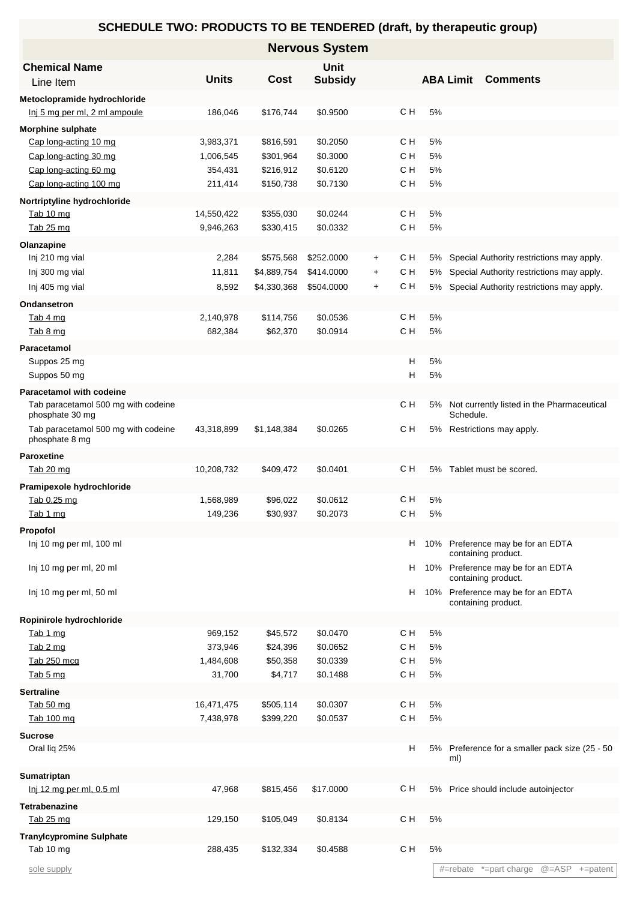| <b>Nervous System</b>                                           |              |             |                |           |            |          |                  |                                                      |                              |
|-----------------------------------------------------------------|--------------|-------------|----------------|-----------|------------|----------|------------------|------------------------------------------------------|------------------------------|
| <b>Chemical Name</b>                                            |              |             | <b>Unit</b>    |           |            |          |                  |                                                      |                              |
| Line Item                                                       | <b>Units</b> | Cost        | <b>Subsidy</b> |           |            |          | <b>ABA Limit</b> | <b>Comments</b>                                      |                              |
| Metoclopramide hydrochloride                                    |              |             |                |           |            |          |                  |                                                      |                              |
| Inj 5 mg per ml, 2 ml ampoule                                   | 186,046      | \$176,744   | \$0.9500       |           | C H        | 5%       |                  |                                                      |                              |
| <b>Morphine sulphate</b>                                        |              |             |                |           |            |          |                  |                                                      |                              |
| Cap long-acting 10 mg                                           | 3,983,371    | \$816,591   | \$0.2050       |           | C H        | 5%       |                  |                                                      |                              |
| Cap long-acting 30 mg                                           | 1,006,545    | \$301,964   | \$0.3000       |           | C H        | 5%       |                  |                                                      |                              |
| Cap long-acting 60 mg                                           | 354,431      | \$216,912   | \$0.6120       |           | C H        | 5%       |                  |                                                      |                              |
| Cap long-acting 100 mg                                          | 211,414      | \$150,738   | \$0.7130       |           | C H        | 5%       |                  |                                                      |                              |
| Nortriptyline hydrochloride                                     |              |             |                |           |            |          |                  |                                                      |                              |
| Tab 10 mg                                                       | 14,550,422   | \$355,030   | \$0.0244       |           | C H        | 5%       |                  |                                                      |                              |
| Tab 25 mg                                                       | 9,946,263    | \$330,415   | \$0.0332       |           | C H        | 5%       |                  |                                                      |                              |
| Olanzapine                                                      |              |             |                |           |            |          |                  |                                                      |                              |
| Inj 210 mg vial                                                 | 2,284        | \$575,568   | \$252.0000     | $+$       | CН         | 5%       |                  | Special Authority restrictions may apply.            |                              |
| Inj 300 mg vial                                                 | 11,811       | \$4,889,754 | \$414.0000     | $\ddot{}$ | C H<br>C H | 5%       |                  | Special Authority restrictions may apply.            |                              |
| Inj 405 mg vial                                                 | 8,592        | \$4,330,368 | \$504.0000     | $\ddot{}$ |            | 5%       |                  | Special Authority restrictions may apply.            |                              |
| Ondansetron                                                     |              |             |                |           |            |          |                  |                                                      |                              |
| Tab 4 mg                                                        | 2,140,978    | \$114,756   | \$0.0536       |           | C H<br>C H | 5%<br>5% |                  |                                                      |                              |
| Tab 8 mg                                                        | 682,384      | \$62,370    | \$0.0914       |           |            |          |                  |                                                      |                              |
| Paracetamol                                                     |              |             |                |           | н          | 5%       |                  |                                                      |                              |
| Suppos 25 mg<br>Suppos 50 mg                                    |              |             |                |           | н          | 5%       |                  |                                                      |                              |
|                                                                 |              |             |                |           |            |          |                  |                                                      |                              |
| Paracetamol with codeine<br>Tab paracetamol 500 mg with codeine |              |             |                |           | C H        | 5%       |                  | Not currently listed in the Pharmaceutical           |                              |
| phosphate 30 mg                                                 |              |             |                |           |            |          | Schedule.        |                                                      |                              |
| Tab paracetamol 500 mg with codeine                             | 43,318,899   | \$1,148,384 | \$0.0265       |           | с н        | 5%       |                  | Restrictions may apply.                              |                              |
| phosphate 8 mg                                                  |              |             |                |           |            |          |                  |                                                      |                              |
| <b>Paroxetine</b>                                               |              |             |                |           |            |          |                  |                                                      |                              |
| Tab 20 mg                                                       | 10,208,732   | \$409,472   | \$0.0401       |           | CН         |          |                  | 5% Tablet must be scored.                            |                              |
| Pramipexole hydrochloride                                       |              |             |                |           |            |          |                  |                                                      |                              |
| Tab 0.25 mg                                                     | 1,568,989    | \$96,022    | \$0.0612       |           | C H        | 5%       |                  |                                                      |                              |
| Tab 1 mg                                                        | 149,236      | \$30,937    | \$0.2073       |           | C H        | 5%       |                  |                                                      |                              |
| Propofol                                                        |              |             |                |           |            |          |                  | 10% Preference may be for an EDTA                    |                              |
| Inj 10 mg per ml, 100 ml                                        |              |             |                |           | H.         |          |                  | containing product.                                  |                              |
| Inj 10 mg per ml, 20 ml                                         |              |             |                |           | H.         | 10%      |                  | Preference may be for an EDTA                        |                              |
|                                                                 |              |             |                |           |            |          |                  | containing product.                                  |                              |
| Inj 10 mg per ml, 50 ml                                         |              |             |                |           | H.         | 10%      |                  | Preference may be for an EDTA<br>containing product. |                              |
|                                                                 |              |             |                |           |            |          |                  |                                                      |                              |
| Ropinirole hydrochloride<br>Tab 1 mg                            | 969,152      | \$45,572    | \$0.0470       |           | C H        | 5%       |                  |                                                      |                              |
| Tab 2 mg                                                        | 373,946      | \$24,396    | \$0.0652       |           | C H        | 5%       |                  |                                                      |                              |
| Tab 250 mcg                                                     | 1,484,608    | \$50,358    | \$0.0339       |           | C H        | 5%       |                  |                                                      |                              |
| Tab 5 mg                                                        | 31,700       | \$4,717     | \$0.1488       |           | C H        | 5%       |                  |                                                      |                              |
| <b>Sertraline</b>                                               |              |             |                |           |            |          |                  |                                                      |                              |
| Tab 50 mg                                                       | 16,471,475   | \$505,114   | \$0.0307       |           | C H        | 5%       |                  |                                                      |                              |
| Tab 100 mg                                                      | 7,438,978    | \$399,220   | \$0.0537       |           | C H        | 5%       |                  |                                                      |                              |
| <b>Sucrose</b>                                                  |              |             |                |           |            |          |                  |                                                      |                              |
| Oral lig 25%                                                    |              |             |                |           | H          | 5%       |                  | Preference for a smaller pack size (25 - 50          |                              |
|                                                                 |              |             |                |           |            |          | ml)              |                                                      |                              |
| Sumatriptan                                                     |              |             |                |           |            |          |                  |                                                      |                              |
| Inj 12 mg per ml, 0.5 ml                                        | 47,968       | \$815,456   | \$17.0000      |           | CН         | 5%       |                  | Price should include autoinjector                    |                              |
| <b>Tetrabenazine</b>                                            |              |             |                |           |            |          |                  |                                                      |                              |
| Tab 25 mg                                                       | 129,150      | \$105,049   | \$0.8134       |           | C H        | 5%       |                  |                                                      |                              |
| <b>Tranylcypromine Sulphate</b>                                 |              |             |                |           |            |          |                  |                                                      |                              |
| Tab 10 mg                                                       | 288,435      | \$132,334   | \$0.4588       |           | C H        | 5%       |                  |                                                      |                              |
| sole supply                                                     |              |             |                |           |            |          | #=rebate         |                                                      | *=part charge @=ASP +=patent |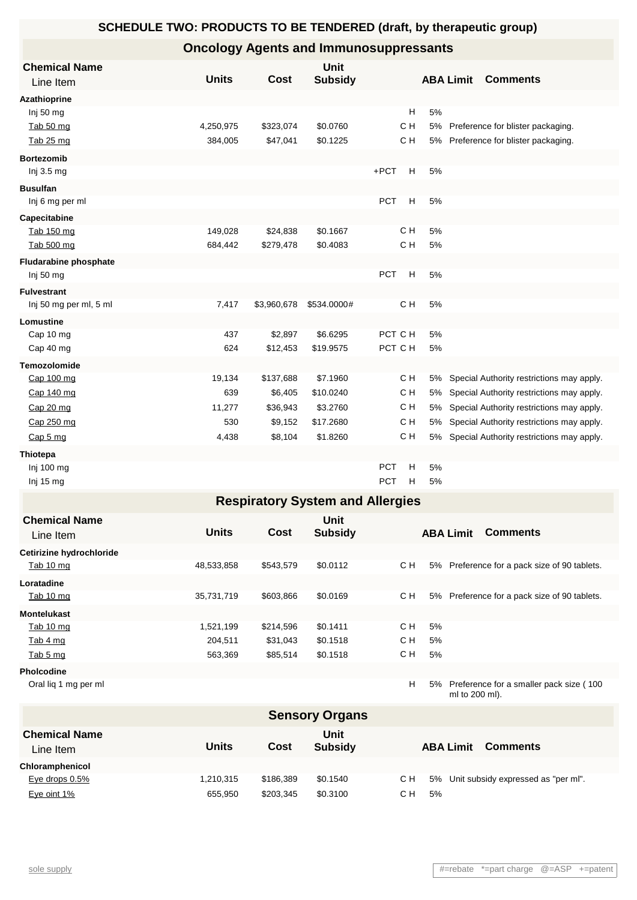# **Oncology Agents and Immunosuppressants**

|                                         |                                                                                                                              | <b>Unit</b>                                                                                                                                            |                                                                                                                                                                      |                                                                                                                                                                                                   |                                                                                              | <b>Comments</b>                              |  |  |  |
|-----------------------------------------|------------------------------------------------------------------------------------------------------------------------------|--------------------------------------------------------------------------------------------------------------------------------------------------------|----------------------------------------------------------------------------------------------------------------------------------------------------------------------|---------------------------------------------------------------------------------------------------------------------------------------------------------------------------------------------------|----------------------------------------------------------------------------------------------|----------------------------------------------|--|--|--|
|                                         |                                                                                                                              |                                                                                                                                                        |                                                                                                                                                                      |                                                                                                                                                                                                   |                                                                                              |                                              |  |  |  |
|                                         |                                                                                                                              |                                                                                                                                                        |                                                                                                                                                                      |                                                                                                                                                                                                   |                                                                                              |                                              |  |  |  |
|                                         |                                                                                                                              |                                                                                                                                                        |                                                                                                                                                                      |                                                                                                                                                                                                   |                                                                                              |                                              |  |  |  |
|                                         |                                                                                                                              |                                                                                                                                                        |                                                                                                                                                                      |                                                                                                                                                                                                   |                                                                                              | Preference for blister packaging.            |  |  |  |
|                                         |                                                                                                                              |                                                                                                                                                        |                                                                                                                                                                      |                                                                                                                                                                                                   |                                                                                              | 5% Preference for blister packaging.         |  |  |  |
|                                         |                                                                                                                              |                                                                                                                                                        |                                                                                                                                                                      |                                                                                                                                                                                                   |                                                                                              |                                              |  |  |  |
|                                         |                                                                                                                              |                                                                                                                                                        |                                                                                                                                                                      |                                                                                                                                                                                                   |                                                                                              |                                              |  |  |  |
|                                         |                                                                                                                              |                                                                                                                                                        |                                                                                                                                                                      |                                                                                                                                                                                                   |                                                                                              |                                              |  |  |  |
|                                         |                                                                                                                              |                                                                                                                                                        |                                                                                                                                                                      |                                                                                                                                                                                                   |                                                                                              |                                              |  |  |  |
|                                         |                                                                                                                              |                                                                                                                                                        |                                                                                                                                                                      |                                                                                                                                                                                                   |                                                                                              |                                              |  |  |  |
|                                         |                                                                                                                              |                                                                                                                                                        |                                                                                                                                                                      |                                                                                                                                                                                                   |                                                                                              |                                              |  |  |  |
|                                         |                                                                                                                              |                                                                                                                                                        |                                                                                                                                                                      |                                                                                                                                                                                                   |                                                                                              |                                              |  |  |  |
|                                         |                                                                                                                              |                                                                                                                                                        |                                                                                                                                                                      |                                                                                                                                                                                                   |                                                                                              |                                              |  |  |  |
|                                         |                                                                                                                              |                                                                                                                                                        |                                                                                                                                                                      |                                                                                                                                                                                                   |                                                                                              |                                              |  |  |  |
|                                         |                                                                                                                              |                                                                                                                                                        |                                                                                                                                                                      |                                                                                                                                                                                                   |                                                                                              |                                              |  |  |  |
|                                         |                                                                                                                              |                                                                                                                                                        |                                                                                                                                                                      |                                                                                                                                                                                                   |                                                                                              |                                              |  |  |  |
|                                         |                                                                                                                              |                                                                                                                                                        |                                                                                                                                                                      |                                                                                                                                                                                                   |                                                                                              |                                              |  |  |  |
|                                         |                                                                                                                              |                                                                                                                                                        |                                                                                                                                                                      |                                                                                                                                                                                                   |                                                                                              |                                              |  |  |  |
|                                         |                                                                                                                              |                                                                                                                                                        |                                                                                                                                                                      |                                                                                                                                                                                                   |                                                                                              |                                              |  |  |  |
|                                         |                                                                                                                              |                                                                                                                                                        |                                                                                                                                                                      |                                                                                                                                                                                                   |                                                                                              |                                              |  |  |  |
|                                         |                                                                                                                              |                                                                                                                                                        |                                                                                                                                                                      |                                                                                                                                                                                                   |                                                                                              | 5% Special Authority restrictions may apply. |  |  |  |
|                                         |                                                                                                                              |                                                                                                                                                        |                                                                                                                                                                      |                                                                                                                                                                                                   |                                                                                              | Special Authority restrictions may apply.    |  |  |  |
|                                         |                                                                                                                              |                                                                                                                                                        |                                                                                                                                                                      |                                                                                                                                                                                                   |                                                                                              | Special Authority restrictions may apply.    |  |  |  |
|                                         |                                                                                                                              |                                                                                                                                                        |                                                                                                                                                                      |                                                                                                                                                                                                   |                                                                                              | Special Authority restrictions may apply.    |  |  |  |
|                                         |                                                                                                                              |                                                                                                                                                        |                                                                                                                                                                      |                                                                                                                                                                                                   |                                                                                              | Special Authority restrictions may apply.    |  |  |  |
|                                         |                                                                                                                              |                                                                                                                                                        |                                                                                                                                                                      |                                                                                                                                                                                                   |                                                                                              |                                              |  |  |  |
|                                         |                                                                                                                              |                                                                                                                                                        |                                                                                                                                                                      |                                                                                                                                                                                                   |                                                                                              |                                              |  |  |  |
|                                         |                                                                                                                              |                                                                                                                                                        |                                                                                                                                                                      |                                                                                                                                                                                                   |                                                                                              |                                              |  |  |  |
| <b>Respiratory System and Allergies</b> |                                                                                                                              |                                                                                                                                                        |                                                                                                                                                                      |                                                                                                                                                                                                   |                                                                                              |                                              |  |  |  |
|                                         |                                                                                                                              | Unit                                                                                                                                                   |                                                                                                                                                                      |                                                                                                                                                                                                   |                                                                                              |                                              |  |  |  |
| <b>Units</b>                            | <b>Cost</b>                                                                                                                  | <b>Subsidy</b>                                                                                                                                         |                                                                                                                                                                      |                                                                                                                                                                                                   |                                                                                              | <b>ABA Limit Comments</b>                    |  |  |  |
|                                         |                                                                                                                              |                                                                                                                                                        |                                                                                                                                                                      |                                                                                                                                                                                                   |                                                                                              |                                              |  |  |  |
| 48,533,858                              | \$543,579                                                                                                                    | \$0.0112                                                                                                                                               | C H                                                                                                                                                                  |                                                                                                                                                                                                   |                                                                                              | 5% Preference for a pack size of 90 tablets. |  |  |  |
|                                         |                                                                                                                              |                                                                                                                                                        |                                                                                                                                                                      |                                                                                                                                                                                                   |                                                                                              |                                              |  |  |  |
| 35,731,719                              | \$603,866                                                                                                                    | \$0.0169                                                                                                                                               | C H                                                                                                                                                                  |                                                                                                                                                                                                   |                                                                                              | 5% Preference for a pack size of 90 tablets. |  |  |  |
|                                         |                                                                                                                              |                                                                                                                                                        |                                                                                                                                                                      |                                                                                                                                                                                                   |                                                                                              |                                              |  |  |  |
| 1,521,199                               | \$214,596                                                                                                                    | \$0.1411                                                                                                                                               | C H                                                                                                                                                                  | 5%                                                                                                                                                                                                |                                                                                              |                                              |  |  |  |
| 204,511                                 | \$31,043                                                                                                                     | \$0.1518                                                                                                                                               | C H                                                                                                                                                                  | 5%                                                                                                                                                                                                |                                                                                              |                                              |  |  |  |
| 563,369                                 | \$85,514                                                                                                                     | \$0.1518                                                                                                                                               | C H                                                                                                                                                                  | 5%                                                                                                                                                                                                |                                                                                              |                                              |  |  |  |
|                                         |                                                                                                                              |                                                                                                                                                        |                                                                                                                                                                      |                                                                                                                                                                                                   |                                                                                              |                                              |  |  |  |
|                                         |                                                                                                                              |                                                                                                                                                        | H                                                                                                                                                                    | 5%                                                                                                                                                                                                |                                                                                              | Preference for a smaller pack size (100      |  |  |  |
|                                         |                                                                                                                              |                                                                                                                                                        |                                                                                                                                                                      |                                                                                                                                                                                                   |                                                                                              |                                              |  |  |  |
|                                         |                                                                                                                              |                                                                                                                                                        |                                                                                                                                                                      |                                                                                                                                                                                                   |                                                                                              |                                              |  |  |  |
|                                         |                                                                                                                              | Unit                                                                                                                                                   |                                                                                                                                                                      |                                                                                                                                                                                                   |                                                                                              |                                              |  |  |  |
|                                         | <b>Units</b><br>4,250,975<br>384,005<br>149,028<br>684,442<br>7,417<br>437<br>624<br>19,134<br>639<br>11,277<br>530<br>4,438 | Cost<br>\$323,074<br>\$47,041<br>\$24,838<br>\$279,478<br>\$3,960,678<br>\$2,897<br>\$12,453<br>\$137,688<br>\$6,405<br>\$36,943<br>\$9,152<br>\$8,104 | <b>Subsidy</b><br>\$0.0760<br>\$0.1225<br>\$0.1667<br>\$0.4083<br>\$534.0000#<br>\$6.6295<br>\$19.9575<br>\$7.1960<br>\$10.0240<br>\$3.2760<br>\$17.2680<br>\$1.8260 | н<br>C H<br>C H<br>+PCT<br>H<br><b>PCT</b><br>Н<br>C H<br>C H<br>PCT<br>H<br>C H<br>PCT C H<br>PCT C H<br>C H<br>C H<br>C H<br>C H<br>C H<br>H<br>PCT<br><b>PCT</b><br>н<br><b>Sensory Organs</b> | 5%<br>5%<br>5%<br>5%<br>5%<br>5%<br>5%<br>5%<br>5%<br>5%<br>5%<br>5%<br>5%<br>5%<br>5%<br>5% | <b>ABA Limit</b><br>ml to 200 ml).           |  |  |  |

| Line Item         | <b>Units</b> | Cost      | <b>Subsidy</b> | Comments<br><b>ABA Limit</b>                  |
|-------------------|--------------|-----------|----------------|-----------------------------------------------|
| Chloramphenicol   |              |           |                |                                               |
| Eye drops $0.5\%$ | 1.210.315    | \$186.389 | \$0.1540       | 5% Unit subsidy expressed as "per ml".<br>C H |
| Eye oint 1%       | 655.950      | \$203.345 | \$0.3100       | C H<br>5%                                     |